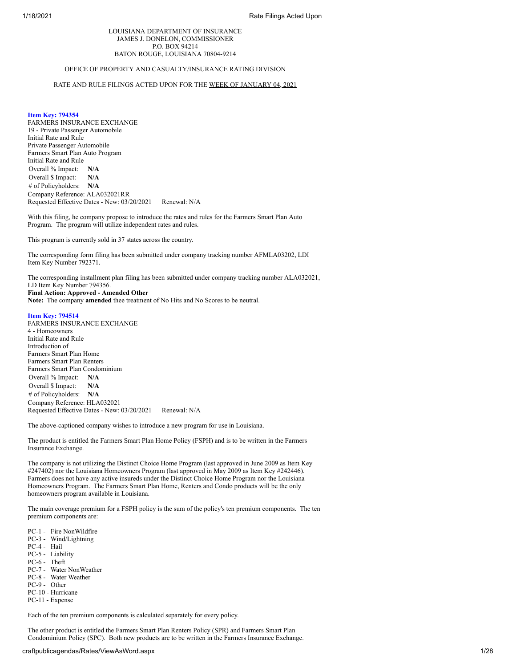## LOUISIANA DEPARTMENT OF INSURANCE JAMES J. DONELON, COMMISSIONER P.O. BOX 94214 BATON ROUGE, LOUISIANA 70804-9214

## OFFICE OF PROPERTY AND CASUALTY/INSURANCE RATING DIVISION

## RATE AND RULE FILINGS ACTED UPON FOR THE WEEK OF JANUARY 04, 2021

## **Item Key: 794354**

FARMERS INSURANCE EXCHANGE 19 - Private Passenger Automobile Initial Rate and Rule Private Passenger Automobile Farmers Smart Plan Auto Program Initial Rate and Rule Overall % Impact: **N/A** Overall \$ Impact: **N/A** # of Policyholders: **N/A** Company Reference: ALA032021RR Requested Effective Dates - New: 03/20/2021 Renewal: N/A

With this filing, he company propose to introduce the rates and rules for the Farmers Smart Plan Auto Program. The program will utilize independent rates and rules.

This program is currently sold in 37 states across the country.

The corresponding form filing has been submitted under company tracking number AFMLA03202, LDI Item Key Number 792371.

The corresponding installment plan filing has been submitted under company tracking number ALA032021, LD Item Key Number 794356.

**Final Action: Approved - Amended Other**

**Note:** The company **amended** thee treatment of No Hits and No Scores to be neutral.

## **Item Key: 794514**

FARMERS INSURANCE EXCHANGE 4 - Homeowners Initial Rate and Rule Introduction of Farmers Smart Plan Home Farmers Smart Plan Renters Farmers Smart Plan Condominium Overall % Impact: **N/A** Overall \$ Impact: **N/A** # of Policyholders: **N/A** Company Reference: HLA032021 Requested Effective Dates - New: 03/20/2021 Renewal: N/A

The above-captioned company wishes to introduce a new program for use in Louisiana.

The product is entitled the Farmers Smart Plan Home Policy (FSPH) and is to be written in the Farmers Insurance Exchange.

The company is not utilizing the Distinct Choice Home Program (last approved in June 2009 as Item Key #247402) nor the Louisiana Homeowners Program (last approved in May 2009 as Item Key #242446). Farmers does not have any active insureds under the Distinct Choice Home Program nor the Louisiana Homeowners Program. The Farmers Smart Plan Home, Renters and Condo products will be the only homeowners program available in Louisiana.

The main coverage premium for a FSPH policy is the sum of the policy's ten premium components. The ten premium components are:

PC-1 - Fire NonWildfire PC-3 - Wind/Lightning PC-4 - Hail PC-5 - Liability PC-6 - Theft PC-7 - Water NonWeather PC-8 - Water Weather PC-9 - Other PC-10 - Hurricane PC-11 - Expense

Each of the ten premium components is calculated separately for every policy.

The other product is entitled the Farmers Smart Plan Renters Policy (SPR) and Farmers Smart Plan Condominium Policy (SPC). Both new products are to be written in the Farmers Insurance Exchange.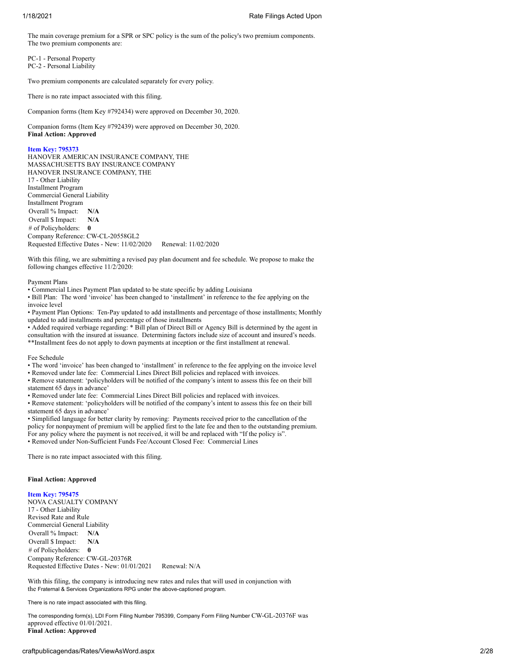The main coverage premium for a SPR or SPC policy is the sum of the policy's two premium components. The two premium components are:

PC-1 - Personal Property PC-2 - Personal Liability

Two premium components are calculated separately for every policy.

There is no rate impact associated with this filing.

Companion forms (Item Key #792434) were approved on December 30, 2020.

Companion forms (Item Key #792439) were approved on December 30, 2020. **Final Action: Approved**

### **Item Key: 795373**

HANOVER AMERICAN INSURANCE COMPANY, THE MASSACHUSETTS BAY INSURANCE COMPANY HANOVER INSURANCE COMPANY, THE 17 - Other Liability Installment Program Commercial General Liability Installment Program Overall % Impact: **N/A** Overall \$ Impact: **N/A** # of Policyholders: **0** Company Reference: CW-CL-20558GL2 Requested Effective Dates - New: 11/02/2020 Renewal: 11/02/2020

With this filing, we are submitting a revised pay plan document and fee schedule. We propose to make the following changes effective 11/2/2020:

## Payment Plans

• Commercial Lines Payment Plan updated to be state specific by adding Louisiana

• Bill Plan: The word 'invoice' has been changed to 'installment' in reference to the fee applying on the invoice level

• Payment Plan Options: Ten-Pay updated to add installments and percentage of those installments; Monthly updated to add installments and percentage of those installments

• Added required verbiage regarding: \* Bill plan of Direct Bill or Agency Bill is determined by the agent in consultation with the insured at issuance. Determining factors include size of account and insured's needs. \*\*Installment fees do not apply to down payments at inception or the first installment at renewal.

Fee Schedule

• The word 'invoice' has been changed to 'installment' in reference to the fee applying on the invoice level

• Removed under late fee: Commercial Lines Direct Bill policies and replaced with invoices.

• Remove statement: 'policyholders will be notified of the company's intent to assess this fee on their bill statement 65 days in advance'

• Removed under late fee: Commercial Lines Direct Bill policies and replaced with invoices.

• Remove statement: 'policyholders will be notified of the company's intent to assess this fee on their bill statement 65 days in advance'

• Simplified language for better clarity by removing: Payments received prior to the cancellation of the policy for nonpayment of premium will be applied first to the late fee and then to the outstanding premium. For any policy where the payment is not received, it will be and replaced with "If the policy is".

• Removed under Non-Sufficient Funds Fee/Account Closed Fee: Commercial Lines

There is no rate impact associated with this filing.

## **Final Action: Approved**

**Item Key: 795475**

NOVA CASUALTY COMPANY 17 - Other Liability Revised Rate and Rule Commercial General Liability Overall % Impact: **N/A** Overall \$ Impact: **N/A** # of Policyholders: **0** Company Reference: CW-GL-20376R Requested Effective Dates - New: 01/01/2021 Renewal: N/A

With this filing, the company is introducing new rates and rules that will used in conjunction with the Fraternal & Services Organizations RPG under the above-captioned program.

There is no rate impact associated with this filing.

The corresponding form(s), LDI Form Filing Number 795399, Company Form Filing Number CW-GL-20376F was approved effective 01/01/2021. **Final Action: Approved**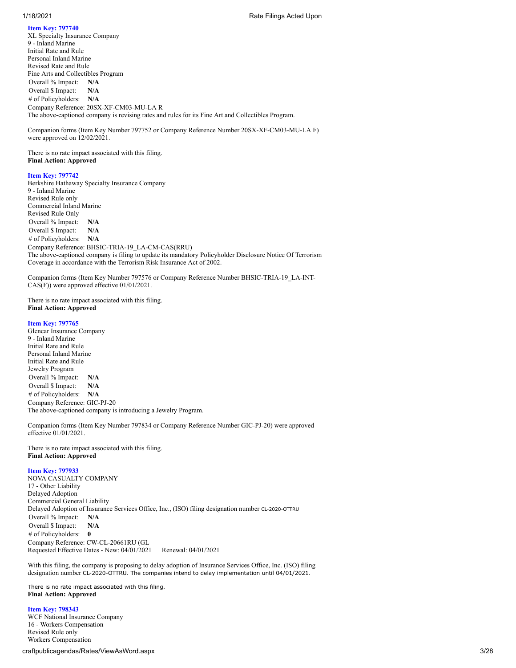**Item Key: 797740** XL Specialty Insurance Company 9 - Inland Marine Initial Rate and Rule Personal Inland Marine Revised Rate and Rule Fine Arts and Collectibles Program Overall % Impact: **N/A** Overall \$ Impact: **N/A** # of Policyholders: **N/A** Company Reference: 20SX-XF-CM03-MU-LA R The above-captioned company is revising rates and rules for its Fine Art and Collectibles Program.

Companion forms (Item Key Number 797752 or Company Reference Number 20SX-XF-CM03-MU-LA F) were approved on 12/02/2021.

There is no rate impact associated with this filing. **Final Action: Approved**

## **Item Key: 797742**

Berkshire Hathaway Specialty Insurance Company 9 - Inland Marine Revised Rule only Commercial Inland Marine Revised Rule Only Overall % Impact: **N/A** Overall \$ Impact: **N/A** # of Policyholders: **N/A** Company Reference: BHSIC-TRIA-19\_LA-CM-CAS(RRU) The above-captioned company is filing to update its mandatory Policyholder Disclosure Notice Of Terrorism Coverage in accordance with the Terrorism Risk Insurance Act of 2002.

Companion forms (Item Key Number 797576 or Company Reference Number BHSIC-TRIA-19\_LA-INT-CAS(F)) were approved effective 01/01/2021.

There is no rate impact associated with this filing. **Final Action: Approved**

#### **Item Key: 797765**

Glencar Insurance Company 9 - Inland Marine Initial Rate and Rule Personal Inland Marine Initial Rate and Rule Jewelry Program Overall % Impact: **N/A** Overall \$ Impact: **N/A** # of Policyholders: **N/A** Company Reference: GIC-PJ-20 The above-captioned company is introducing a Jewelry Program.

Companion forms (Item Key Number 797834 or Company Reference Number GIC-PJ-20) were approved effective 01/01/2021.

There is no rate impact associated with this filing. **Final Action: Approved**

## **Item Key: 797933**

NOVA CASUALTY COMPANY 17 - Other Liability Delayed Adoption Commercial General Liability Delayed Adoption of Insurance Services Office, Inc., (ISO) filing designation number CL-2020-OTTRU Overall % Impact: **N/A** Overall \$ Impact: **N/A** # of Policyholders: **0** Company Reference: CW-CL-20661RU (GL Requested Effective Dates - New: 04/01/2021 Renewal: 04/01/2021

With this filing, the company is proposing to delay adoption of Insurance Services Office, Inc. (ISO) filing designation number CL-2020-OTTRU. The companies intend to delay implementation until 04/01/2021.

There is no rate impact associated with this filing. **Final Action: Approved**

**Item Key: 798343** WCF National Insurance Company 16 - Workers Compensation Revised Rule only Workers Compensation

craftpublicagendas/Rates/ViewAsWord.aspx 3/28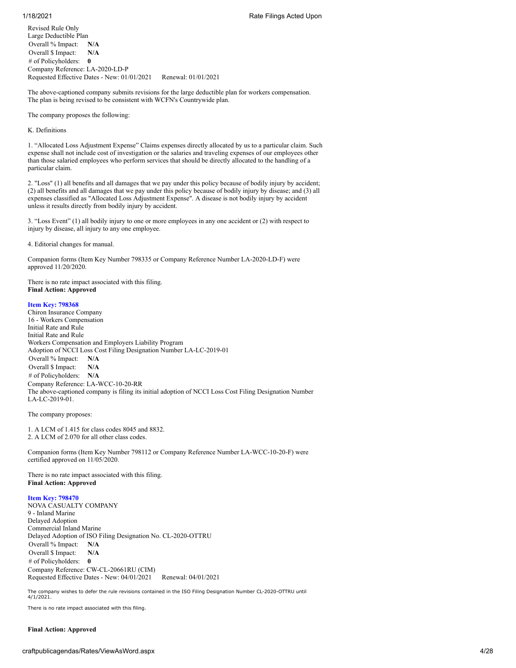Revised Rule Only Large Deductible Plan Overall % Impact: **N/A** Overall \$ Impact: **N/A** # of Policyholders: **0** Company Reference: LA-2020-LD-P Requested Effective Dates - New: 01/01/2021 Renewal: 01/01/2021

The above-captioned company submits revisions for the large deductible plan for workers compensation. The plan is being revised to be consistent with WCFN's Countrywide plan.

The company proposes the following:

K. Definitions

1. "Allocated Loss Adjustment Expense" Claims expenses directly allocated by us to a particular claim. Such expense shall not include cost of investigation or the salaries and traveling expenses of our employees other than those salaried employees who perform services that should be directly allocated to the handling of a particular claim.

2. "Loss" (1) all benefits and all damages that we pay under this policy because of bodily injury by accident; (2) all benefits and all damages that we pay under this policy because of bodily injury by disease; and (3) all expenses classified as "Allocated Loss Adjustment Expense". A disease is not bodily injury by accident unless it results directly from bodily injury by accident.

3. "Loss Event" (1) all bodily injury to one or more employees in any one accident or (2) with respect to injury by disease, all injury to any one employee.

4. Editorial changes for manual.

Companion forms (Item Key Number 798335 or Company Reference Number LA-2020-LD-F) were approved 11/20/2020.

There is no rate impact associated with this filing. **Final Action: Approved**

## **Item Key: 798368**

Chiron Insurance Company 16 - Workers Compensation Initial Rate and Rule Initial Rate and Rule Workers Compensation and Employers Liability Program Adoption of NCCI Loss Cost Filing Designation Number LA-LC-2019-01 Overall % Impact: **N/A** Overall \$ Impact: **N/A** # of Policyholders: **N/A** Company Reference: LA-WCC-10-20-RR The above-captioned company is filing its initial adoption of NCCI Loss Cost Filing Designation Number LA-LC-2019-01.

The company proposes:

1. A LCM of 1.415 for class codes 8045 and 8832. 2. A LCM of 2.070 for all other class codes.

Companion forms (Item Key Number 798112 or Company Reference Number LA-WCC-10-20-F) were certified approved on 11/05/2020.

There is no rate impact associated with this filing. **Final Action: Approved**

**Item Key: 798470**

NOVA CASUALTY COMPANY 9 - Inland Marine Delayed Adoption Commercial Inland Marine Delayed Adoption of ISO Filing Designation No. CL-2020-OTTRU Overall % Impact: **N/A** Overall \$ Impact: **N/A** # of Policyholders: **0** Company Reference: CW-CL-20661RU (CIM) Requested Effective Dates - New: 04/01/2021 Renewal: 04/01/2021

The company wishes to defer the rule revisions contained in the ISO Filing Designation Number CL-2020-OTTRU until 4/1/2021.

There is no rate impact associated with this filing.

## **Final Action: Approved**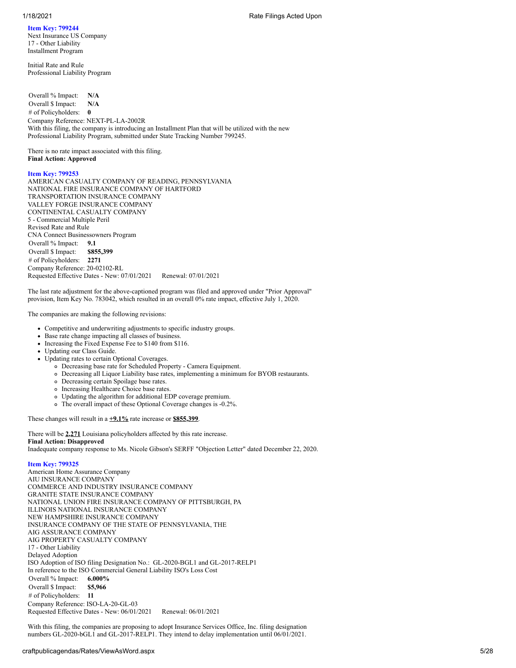## **Item Key: 799244**

Next Insurance US Company 17 - Other Liability Installment Program

Initial Rate and Rule Professional Liability Program

Overall % Impact: **N/A** Overall \$ Impact: **N/A** # of Policyholders: **0** Company Reference: NEXT-PL-LA-2002R With this filing, the company is introducing an Installment Plan that will be utilized with the new Professional Liability Program, submitted under State Tracking Number 799245.

There is no rate impact associated with this filing. **Final Action: Approved**

## **Item Key: 799253**

AMERICAN CASUALTY COMPANY OF READING, PENNSYLVANIA NATIONAL FIRE INSURANCE COMPANY OF HARTFORD TRANSPORTATION INSURANCE COMPANY VALLEY FORGE INSURANCE COMPANY CONTINENTAL CASUALTY COMPANY 5 - Commercial Multiple Peril Revised Rate and Rule CNA Connect Businessowners Program Overall % Impact: **9.1** Overall \$ Impact: **\$855,399** # of Policyholders: **2271** Company Reference: 20-02102-RL Requested Effective Dates - New: 07/01/2021 Renewal: 07/01/2021

The last rate adjustment for the above-captioned program was filed and approved under "Prior Approval" provision, Item Key No. 783042, which resulted in an overall 0% rate impact, effective July 1, 2020.

The companies are making the following revisions:

- Competitive and underwriting adjustments to specific industry groups.
- Base rate change impacting all classes of business.
- $\bullet$  Increasing the Fixed Expense Fee to \$140 from \$116.
- Updating our Class Guide.
- Updating rates to certain Optional Coverages.
	- Decreasing base rate for Scheduled Property Camera Equipment.
	- Decreasing all Liquor Liability base rates, implementing a minimum for BYOB restaurants.
	- Decreasing certain Spoilage base rates.
	- o Increasing Healthcare Choice base rates.
	- Updating the algorithm for additional EDP coverage premium.
	- The overall impact of these Optional Coverage changes is -0.2%.

These changes will result in a **+9.1%** rate increase or **\$855,399**.

There will be **2,271** Louisiana policyholders affected by this rate increase. **Final Action: Disapproved** Inadequate company response to Ms. Nicole Gibson's SERFF "Objection Letter" dated December 22, 2020.

# **Item Key: 799325**

American Home Assurance Company AIU INSURANCE COMPANY COMMERCE AND INDUSTRY INSURANCE COMPANY GRANITE STATE INSURANCE COMPANY NATIONAL UNION FIRE INSURANCE COMPANY OF PITTSBURGH, PA ILLINOIS NATIONAL INSURANCE COMPANY NEW HAMPSHIRE INSURANCE COMPANY INSURANCE COMPANY OF THE STATE OF PENNSYLVANIA, THE AIG ASSURANCE COMPANY AIG PROPERTY CASUALTY COMPANY 17 - Other Liability Delayed Adoption ISO Adoption of ISO filing Designation No.: GL-2020-BGL1 and GL-2017-RELP1 In reference to the ISO Commercial General Liability ISO's Loss Cost Overall % Impact: **6.000%** Overall \$ Impact: **\$5,966** # of Policyholders: **11** Company Reference: ISO-LA-20-GL-03 Requested Effective Dates - New: 06/01/2021 Renewal: 06/01/2021

With this filing, the companies are proposing to adopt Insurance Services Office, Inc. filing designation numbers GL-2020-bGL1 and GL-2017-RELP1. They intend to delay implementation until 06/01/2021.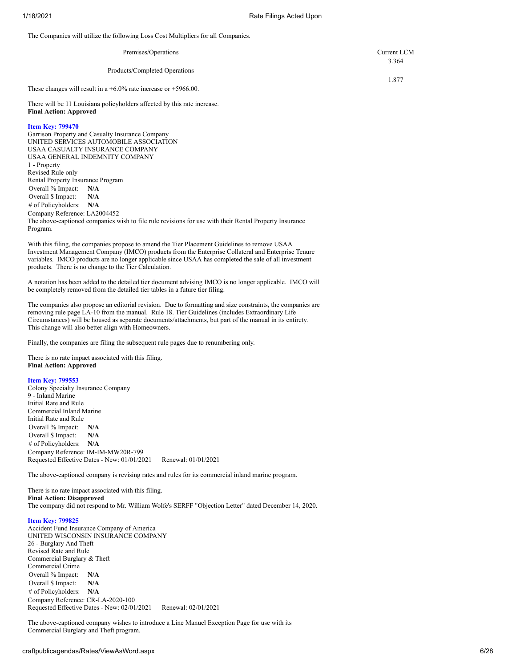The Companies will utilize the following Loss Cost Multipliers for all Companies.

| Premises/Operations                                                   | Current LCM |
|-----------------------------------------------------------------------|-------------|
| Products/Completed Operations                                         | 3.364       |
| These changes will result in a $+6.0\%$ rate increase or $+5966.00$ . | 1.877       |

There will be 11 Louisiana policyholders affected by this rate increase. **Final Action: Approved**

## **Item Key: 799470**

Garrison Property and Casualty Insurance Company UNITED SERVICES AUTOMOBILE ASSOCIATION USAA CASUALTY INSURANCE COMPANY USAA GENERAL INDEMNITY COMPANY 1 - Property Revised Rule only Rental Property Insurance Program Overall % Impact: **N/A** Overall \$ Impact: **N/A** # of Policyholders: **N/A** Company Reference: LA2004452 The above-captioned companies wish to file rule revisions for use with their Rental Property Insurance Program.

With this filing, the companies propose to amend the Tier Placement Guidelines to remove USAA Investment Management Company (IMCO) products from the Enterprise Collateral and Enterprise Tenure variables. IMCO products are no longer applicable since USAA has completed the sale of all investment products. There is no change to the Tier Calculation.

A notation has been added to the detailed tier document advising IMCO is no longer applicable. IMCO will be completely removed from the detailed tier tables in a future tier filing.

The companies also propose an editorial revision. Due to formatting and size constraints, the companies are removing rule page LA-10 from the manual. Rule 18. Tier Guidelines (includes Extraordinary Life Circumstances) will be housed as separate documents/attachments, but part of the manual in its entirety. This change will also better align with Homeowners.

Finally, the companies are filing the subsequent rule pages due to renumbering only.

There is no rate impact associated with this filing. **Final Action: Approved**

### **Item Key: 799553**

Colony Specialty Insurance Company 9 - Inland Marine Initial Rate and Rule Commercial Inland Marine Initial Rate and Rule Overall % Impact: **N/A** Overall \$ Impact: **N/A** # of Policyholders: **N/A** Company Reference: IM-IM-MW20R-799 Requested Effective Dates - New: 01/01/2021 Renewal: 01/01/2021

The above-captioned company is revising rates and rules for its commercial inland marine program.

There is no rate impact associated with this filing. **Final Action: Disapproved** The company did not respond to Mr. William Wolfe's SERFF "Objection Letter" dated December 14, 2020.

### **Item Key: 799825**

Accident Fund Insurance Company of America UNITED WISCONSIN INSURANCE COMPANY 26 - Burglary And Theft Revised Rate and Rule Commercial Burglary & Theft Commercial Crime Overall % Impact: **N/A** Overall \$ Impact: **N/A** # of Policyholders: **N/A** Company Reference: CR-LA-2020-100 Requested Effective Dates - New: 02/01/2021 Renewal: 02/01/2021

The above-captioned company wishes to introduce a Line Manuel Exception Page for use with its Commercial Burglary and Theft program.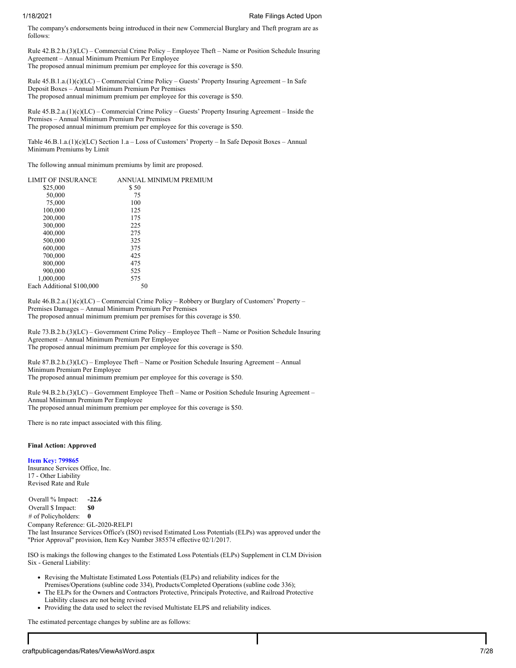The company's endorsements being introduced in their new Commercial Burglary and Theft program are as follows:

Rule 42.B.2.b.(3)(LC) – Commercial Crime Policy – Employee Theft – Name or Position Schedule Insuring Agreement – Annual Minimum Premium Per Employee The proposed annual minimum premium per employee for this coverage is \$50.

Rule 45.B.1.a.(1)(c)(LC) – Commercial Crime Policy – Guests' Property Insuring Agreement – In Safe Deposit Boxes – Annual Minimum Premium Per Premises The proposed annual minimum premium per employee for this coverage is \$50.

Rule 45.B.2.a.(1)(c)(LC) – Commercial Crime Policy – Guests' Property Insuring Agreement – Inside the Premises – Annual Minimum Premium Per Premises The proposed annual minimum premium per employee for this coverage is \$50.

Table 46.B.1.a.(1)(c)(LC) Section 1.a – Loss of Customers' Property – In Safe Deposit Boxes – Annual Minimum Premiums by Limit

The following annual minimum premiums by limit are proposed.

| <b>LIMIT OF INSURANCE</b> | ANNUAL MINIMUM PREMIUM |
|---------------------------|------------------------|
| \$25,000                  | \$50                   |
| 50,000                    | 75                     |
| 75,000                    | 100                    |
| 100,000                   | 125                    |
| 200,000                   | 175                    |
| 300,000                   | 225                    |
| 400,000                   | 275                    |
| 500,000                   | 325                    |
| 600,000                   | 375                    |
| 700,000                   | 425                    |
| 800,000                   | 475                    |
| 900,000                   | 525                    |
| 1,000,000                 | 575                    |
| Each Additional \$100,000 | 50                     |

Rule 46.B.2.a.(1)(c)(LC) – Commercial Crime Policy – Robbery or Burglary of Customers' Property – Premises Damages – Annual Minimum Premium Per Premises The proposed annual minimum premium per premises for this coverage is \$50.

Rule 73.B.2.b.(3)(LC) – Government Crime Policy – Employee Theft – Name or Position Schedule Insuring Agreement – Annual Minimum Premium Per Employee The proposed annual minimum premium per employee for this coverage is \$50.

Rule 87.B.2.b.(3)(LC) – Employee Theft – Name or Position Schedule Insuring Agreement – Annual Minimum Premium Per Employee

The proposed annual minimum premium per employee for this coverage is \$50.

Rule 94.B.2.b.(3)(LC) – Government Employee Theft – Name or Position Schedule Insuring Agreement – Annual Minimum Premium Per Employee The proposed annual minimum premium per employee for this coverage is \$50.

There is no rate impact associated with this filing.

## **Final Action: Approved**

**Item Key: 799865** Insurance Services Office, Inc. 17 - Other Liability Revised Rate and Rule

Overall % Impact: **-22.6** Overall \$ Impact: **\$0** # of Policyholders: **0** Company Reference: GL-2020-RELP1 The last Insurance Services Office's (ISO) revised Estimated Loss Potentials (ELPs) was approved under the "Prior Approval" provision, Item Key Number 385574 effective 02/1/2017.

ISO is makings the following changes to the Estimated Loss Potentials (ELPs) Supplement in CLM Division Six - General Liability:

- Revising the Multistate Estimated Loss Potentials (ELPs) and reliability indices for the Premises/Operations (subline code 334), Products/Completed Operations (subline code 336);
- The ELPs for the Owners and Contractors Protective, Principals Protective, and Railroad Protective Liability classes are not being revised
- Providing the data used to select the revised Multistate ELPS and reliability indices.

The estimated percentage changes by subline are as follows: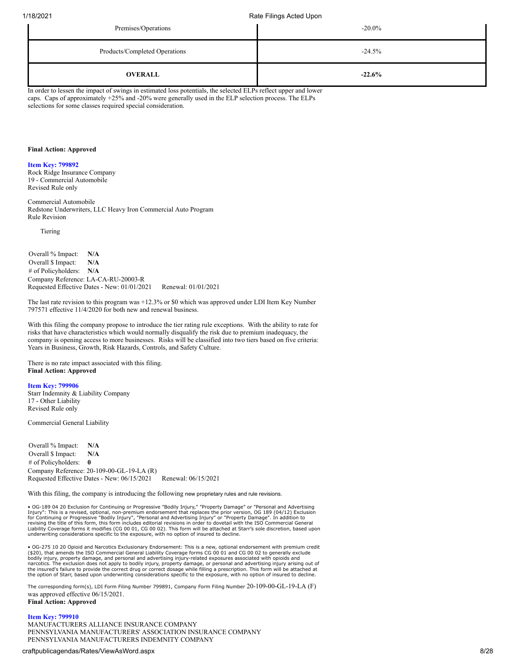| Premises/Operations           | $-20.0\%$ |
|-------------------------------|-----------|
| Products/Completed Operations | $-24.5%$  |
| <b>OVERALL</b>                | $-22.6%$  |

In order to lessen the impact of swings in estimated loss potentials, the selected ELPs reflect upper and lower caps. Caps of approximately +25% and -20% were generally used in the ELP selection process. The ELPs selections for some classes required special consideration.

## **Final Action: Approved**

## **Item Key: 799892**

Rock Ridge Insurance Company 19 - Commercial Automobile Revised Rule only

Commercial Automobile Redstone Underwriters, LLC Heavy Iron Commercial Auto Program Rule Revision

Tiering

Overall % Impact: **N/A** Overall \$ Impact: **N/A** # of Policyholders: **N/A** Company Reference: LA-CA-RU-20003-R Requested Effective Dates - New: 01/01/2021 Renewal: 01/01/2021

The last rate revision to this program was +12.3% or \$0 which was approved under LDI Item Key Number 797571 effective 11/4/2020 for both new and renewal business.

With this filing the company propose to introduce the tier rating rule exceptions. With the ability to rate for risks that have characteristics which would normally disqualify the risk due to premium inadequacy, the company is opening access to more businesses. Risks will be classified into two tiers based on five criteria: Years in Business, Growth, Risk Hazards, Controls, and Safety Culture.

There is no rate impact associated with this filing. **Final Action: Approved**

## **Item Key: 799906**

Starr Indemnity & Liability Company 17 - Other Liability Revised Rule only

Commercial General Liability

Overall % Impact: **N/A** Overall \$ Impact: **N/A** # of Policyholders: **0** Company Reference: 20-109-00-GL-19-LA (R)<br>Requested Effective Dates - New: 06/15/2021 Renewal: 06/15/2021 Requested Effective Dates - New: 06/15/2021

With this filing, the company is introducing the following new proprietary rules and rule revisions.

• OG-189 04 20 Exclusion for Continuing or Progressive "Bodily Injury," "Property Damage" or "Personal and Advertising<br>Injury": This is a revised, optional, non-premium endorsement that replaces the prior version, OG 189 ( Liability Coverage forms it modifies (CG 00 01, CG 00 02). This form will be attached at Starr's sole discretion, based upon underwriting considerations specific to the exposure, with no option of insured to decline.

• OG-275 10 20 Opioid and Narcotics Exclusionary Endorsement: This is a new, optional endorsement with premium credit (\$20), that amends the ISO Commercial General Liability Coverage forms CG 00 01 and CG 00 02 to generally exclude bodily injury, property damage, and personal and advertising injury-related exposures associated with opioids and<br>narcotics. The exclusion does not apply to bodily injury, property damage, or personal and advertising injur the insured's failure to provide the correct drug or correct dosage while filling a prescription. This form will be attached at<br>the option of Starr, based upon underwriting considerations specific to the exposure, with no

The corresponding form(s), LDI Form Filing Number 799891, Company Form Filing Number 20-109-00-GL-19-LA (F) was approved effective 06/15/2021.

## **Final Action: Approved**

### **Item Key: 799910**

MANUFACTURERS ALLIANCE INSURANCE COMPANY PENNSYLVANIA MANUFACTURERS' ASSOCIATION INSURANCE COMPANY PENNSYLVANIA MANUFACTURERS INDEMNITY COMPANY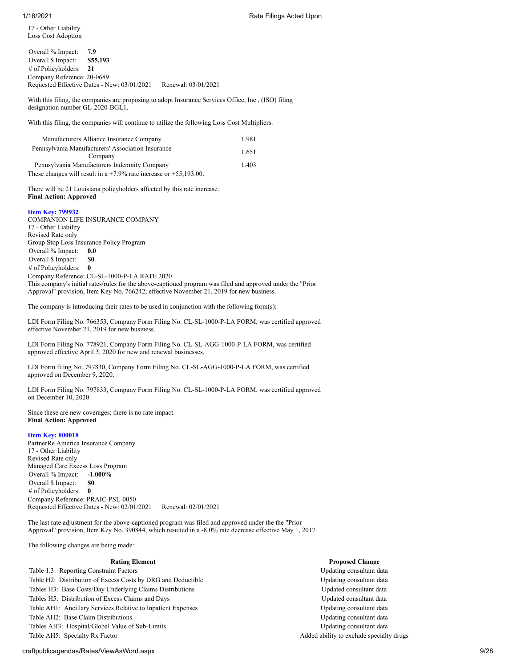17 - Other Liability Loss Cost Adoption

| Overall % Impact:          | 7.9                                         |                     |
|----------------------------|---------------------------------------------|---------------------|
| Overall \$ Impact:         | \$55,193                                    |                     |
| # of Policyholders: $21$   |                                             |                     |
| Company Reference: 20-0689 |                                             |                     |
|                            | Requested Effective Dates - New: 03/01/2021 | Renewal: 03/01/2021 |
|                            |                                             |                     |

With this filing, the companies are proposing to adopt Insurance Services Office, Inc., (ISO) filing designation number GL-2020-BGL1.

With this filing, the companies will continue to utilize the following Loss Cost Multipliers.

| Manufacturers Alliance Insurance Company                                | 1.981 |
|-------------------------------------------------------------------------|-------|
| Pennsylvania Manufacturers' Association Insurance<br>Company            | 1.651 |
| Pennsylvania Manufacturers Indemnity Company                            | 1.403 |
| These changes will result in a $+7.9\%$ rate increase or $+55.193.00$ . |       |

There will be 21 Louisiana policyholders affected by this rate increase. **Final Action: Approved**

## **Item Key: 799932**

COMPANION LIFE INSURANCE COMPANY 17 - Other Liability Revised Rate only Group Stop Loss Insurance Policy Program Overall % Impact: **0.0** Overall \$ Impact: \$0 # of Policyholders: **0** Company Reference: CL-SL-1000-P-LA RATE 2020 This company's initial rates/rules for the above-captioned program was filed and approved under the "Prior Approval" provision, Item Key No. 766242, effective November 21, 2019 for new business.

The company is introducing their rates to be used in conjunction with the following form(s):

LDI Form Filing No. 766353, Company Form Filing No. CL-SL-1000-P-LA FORM, was certified approved effective November 21, 2019 for new business.

LDI Form Filing No. 778921, Company Form Filing No. CL-SL-AGG-1000-P-LA FORM, was certified approved effective April 3, 2020 for new and renewal businesses.

LDI Form filing No. 797830, Company Form Filing No. CL-SL-AGG-1000-P-LA FORM, was certified approved on December 9, 2020.

LDI Form Filing No. 797833, Company Form Filing No. CL-SL-1000-P-LA FORM, was certified approved on December 10, 2020.

Since these are new coverages; there is no rate impact. **Final Action: Approved**

# **Item Key: 800018**

PartnerRe America Insurance Company 17 - Other Liability Revised Rate only Managed Care Excess Loss Program Overall % Impact: **-1.000%** Overall \$ Impact: **\$0** # of Policyholders: **0** Company Reference: PRAIC-PSL-0050 Requested Effective Dates - New: 02/01/2021 Renewal: 02/01/2021

The last rate adjustment for the above-captioned program was filed and approved under the the "Prior Approval" provision, Item Key No. 390844, which resulted in a -8.0% rate decrease effective May 1, 2017.

The following changes are being made:

Table 1.3: Reporting Constraint Factors Updating consultant data Table H2: Distribution of Excess Costs by DRG and Deductible Updating Consultant data Tables H3: Base Costs/Day Underlying Claims Distributions **Under the Cost of Consultant data** Tables H5: Distribution of Excess Claims and Days Theory and Tables H5: Updated consultant data Table AH1: Ancillary Services Relative to Inpatient Expenses Updating Consultant data Table AH2: Base Claim Distributions Updating consultant data Tables AH3: Hospital/Global Value of Sub-Limits Updating consultant data Table AH5: Specialty Rx Factor Added ability to exclude specialty drugs

## **Rating Element Proposed Change**

## craftpublicagendas/Rates/ViewAsWord.aspx 9/28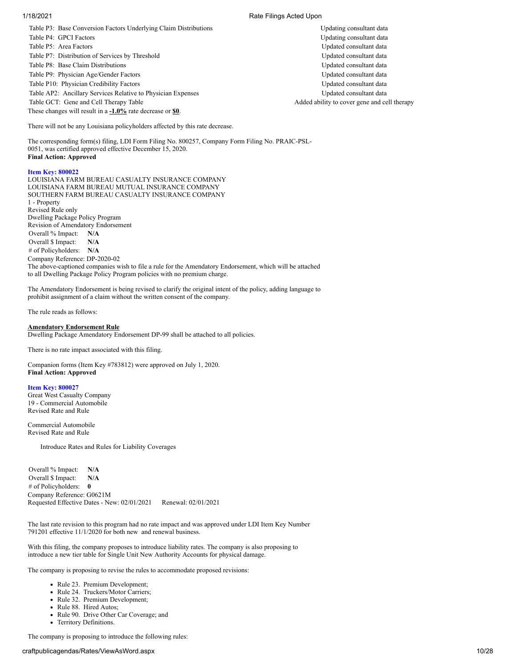1/18/2021 Rate Filings Acted Upon

Table P3: Base Conversion Factors Underlying Claim Distributions Updating Consultant data Table P4: GPCI Factors Updating consultant data and the Updating consultant data Table P5: Area Factors Updated consultant data Table P7: Distribution of Services by Threshold Updated consultant data Table P8: Base Claim Distributions **National Consultant data** Updated consultant data Table P9: Physician Age/Gender Factors Updated consultant data Table P10: Physician Credibility Factors **Consultant data** Updated consultant data Table AP2: Ancillary Services Relative to Physician Expenses Updated consultant data Table GCT: Gene and Cell Therapy Table  $\blacksquare$  Added ability to cover gene and cell therapy

These changes will result in a **-1.0%** rate decrease or **\$0**.

There will not be any Louisiana policyholders affected by this rate decrease.

The corresponding form(s) filing, LDI Form Filing No. 800257, Company Form Filing No. PRAIC-PSL-0051, was certified approved effective December 15, 2020. **Final Action: Approved**

## **Item Key: 800022**

LOUISIANA FARM BUREAU CASUALTY INSURANCE COMPANY LOUISIANA FARM BUREAU MUTUAL INSURANCE COMPANY SOUTHERN FARM BUREAU CASUALTY INSURANCE COMPANY 1 - Property Revised Rule only Dwelling Package Policy Program Revision of Amendatory Endorsement Overall % Impact: **N/A** Overall \$ Impact: **N/A** # of Policyholders: **N/A** Company Reference: DP-2020-02 The above-captioned companies wish to file a rule for the Amendatory Endorsement, which will be attached to all Dwelling Package Policy Program policies with no premium charge.

The Amendatory Endorsement is being revised to clarify the original intent of the policy, adding language to prohibit assignment of a claim without the written consent of the company.

The rule reads as follows:

### **Amendatory Endorsement Rule**

Dwelling Package Amendatory Endorsement DP-99 shall be attached to all policies.

There is no rate impact associated with this filing.

Companion forms (Item Key #783812) were approved on July 1, 2020. **Final Action: Approved**

### **Item Key: 800027**

Great West Casualty Company 19 - Commercial Automobile Revised Rate and Rule

Commercial Automobile Revised Rate and Rule

Introduce Rates and Rules for Liability Coverages

Overall % Impact: **N/A** Overall \$ Impact: **N/A** # of Policyholders: **0** Company Reference: G0621M Requested Effective Dates - New: 02/01/2021 Renewal: 02/01/2021

The last rate revision to this program had no rate impact and was approved under LDI Item Key Number 791201 effective 11/1/2020 for both new and renewal business.

With this filing, the company proposes to introduce liability rates. The company is also proposing to introduce a new tier table for Single Unit New Authority Accounts for physical damage.

The company is proposing to revise the rules to accommodate proposed revisions:

- Rule 23. Premium Development;
- Rule 24. Truckers/Motor Carriers;
- Rule 32. Premium Development;
- Rule 88. Hired Autos;
- Rule 90. Drive Other Car Coverage; and
- Territory Definitions.

The company is proposing to introduce the following rules: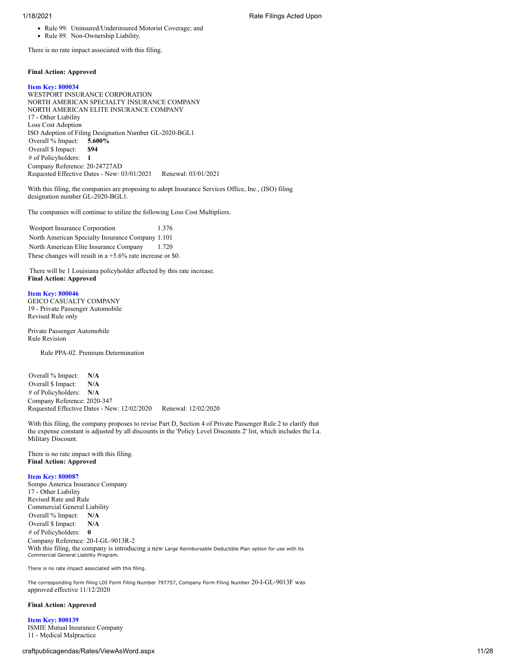- Rule 99. Uninsured/Underinsured Motorist Coverage; and
- Rule 89. Non-Ownership Liability.

There is no rate impact associated with this filing.

## **Final Action: Approved**

### **Item Key: 800034**

WESTPORT INSURANCE CORPORATION NORTH AMERICAN SPECIALTY INSURANCE COMPANY NORTH AMERICAN ELITE INSURANCE COMPANY 17 - Other Liability Loss Cost Adoption ISO Adoption of Filing Designation Number GL-2020-BGL1 Overall % Impact: **5.600%** Overall \$ Impact: **\$94** # of Policyholders: **1** Company Reference: 20-24727AD Requested Effective Dates - New: 03/01/2021 Renewal: 03/01/2021

With this filing, the companies are proposing to adopt Insurance Services Office, Inc., (ISO) filing designation number GL-2020-BGL1.

The companies will continue to utilize the following Loss Cost Multipliers.

Westport Insurance Corporation 1.376 North American Specialty Insurance Company 1.101 North American Elite Insurance Company 1.720 These changes will result in a +5.6% rate increase or \$0.

There will be 1 Louisiana policyholder affected by this rate increase. **Final Action: Approved**

#### **Item Key: 800046**

GEICO CASUALTY COMPANY 19 - Private Passenger Automobile Revised Rule only

Private Passenger Automobile Rule Revision

Rule PPA-02. Premium Determination

Overall % Impact: **N/A** Overall \$ Impact: **N/A** # of Policyholders: **N/A** Company Reference: 2020-347 Requested Effective Dates - New: 12/02/2020 Renewal: 12/02/2020

With this filing, the company proposes to revise Part D, Section 4 of Private Passenger Rule 2 to clarify that the expense constant is adjusted by all discounts in the 'Policy Level Discounts 2' list, which includes the La. Military Discount.

There is no rate impact with this filing. **Final Action: Approved**

#### **Item Key: 800087**

Sompo America Insurance Company 17 - Other Liability Revised Rate and Rule Commercial General Liability Overall % Impact: **N/A** Overall \$ Impact: **N/A** # of Policyholders: **0** Company Reference: 20-I-GL-9013R-2 With this filing, the company is introducing a new Large Reimbursable Deductible Plan option for use with its Commercial General Liability Program.

There is no rate impact associated with this filing.

The corresponding form filing LDI Form Filing Number 797757, Company Form Filing Number 20-I-GL-9013F was approved effective 11/12/2020

### **Final Action: Approved**

**Item Key: 800139** ISMIE Mutual Insurance Company 11 - Medical Malpractice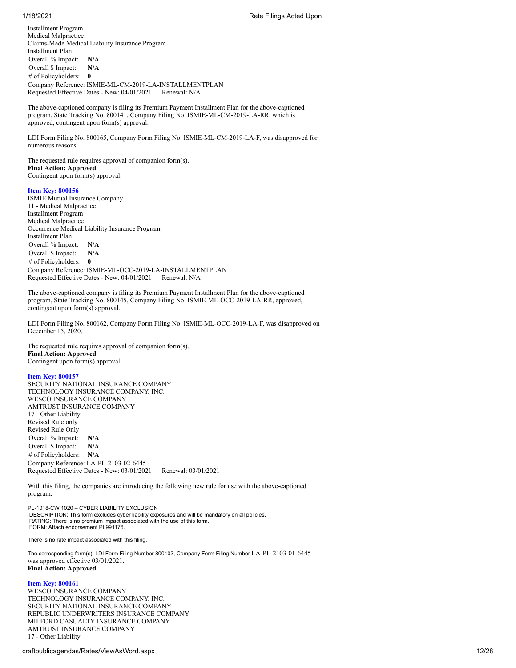Installment Program Medical Malpractice Claims-Made Medical Liability Insurance Program Installment Plan Overall % Impact: **N/A** Overall \$ Impact: **N/A** # of Policyholders: **0** Company Reference: ISMIE-ML-CM-2019-LA-INSTALLMENTPLAN Requested Effective Dates - New: 04/01/2021 Renewal: N/A

The above-captioned company is filing its Premium Payment Installment Plan for the above-captioned program, State Tracking No. 800141, Company Filing No. ISMIE-ML-CM-2019-LA-RR, which is approved, contingent upon form(s) approval.

LDI Form Filing No. 800165, Company Form Filing No. ISMIE-ML-CM-2019-LA-F, was disapproved for numerous reasons.

The requested rule requires approval of companion form(s). **Final Action: Approved** Contingent upon form(s) approval.

## **Item Key: 800156**

ISMIE Mutual Insurance Company 11 - Medical Malpractice Installment Program Medical Malpractice Occurrence Medical Liability Insurance Program Installment Plan Overall % Impact: **N/A** Overall \$ Impact: **N/A** # of Policyholders: **0** Company Reference: ISMIE-ML-OCC-2019-LA-INSTALLMENTPLAN Requested Effective Dates - New: 04/01/2021 Renewal: N/A

The above-captioned company is filing its Premium Payment Installment Plan for the above-captioned program, State Tracking No. 800145, Company Filing No. ISMIE-ML-OCC-2019-LA-RR, approved, contingent upon form(s) approval.

LDI Form Filing No. 800162, Company Form Filing No. ISMIE-ML-OCC-2019-LA-F, was disapproved on December 15, 2020.

The requested rule requires approval of companion form(s). **Final Action: Approved** Contingent upon form(s) approval.

## **Item Key: 800157**

SECURITY NATIONAL INSURANCE COMPANY TECHNOLOGY INSURANCE COMPANY, INC. WESCO INSURANCE COMPANY AMTRUST INSURANCE COMPANY 17 - Other Liability Revised Rule only Revised Rule Only Overall % Impact: **N/A** Overall \$ Impact: **N/A** # of Policyholders: **N/A** Company Reference: LA-PL-2103-02-6445 Requested Effective Dates - New: 03/01/2021 Renewal: 03/01/2021

With this filing, the companies are introducing the following new rule for use with the above-captioned program.

PL-1018-CW 1020 – CYBER LIABILITY EXCLUSION DESCRIPTION: This form excludes cyber liability exposures and will be mandatory on all policies. RATING: There is no premium impact associated with the use of this form. FORM: Attach endorsement PL991176.

There is no rate impact associated with this filing.

The corresponding form(s), LDI Form Filing Number 800103, Company Form Filing Number LA-PL-2103-01-6445 was approved effective 03/01/2021. **Final Action: Approved**

# **Item Key: 800161**

WESCO INSURANCE COMPANY TECHNOLOGY INSURANCE COMPANY, INC. SECURITY NATIONAL INSURANCE COMPANY REPUBLIC UNDERWRITERS INSURANCE COMPANY MILFORD CASUALTY INSURANCE COMPANY AMTRUST INSURANCE COMPANY 17 - Other Liability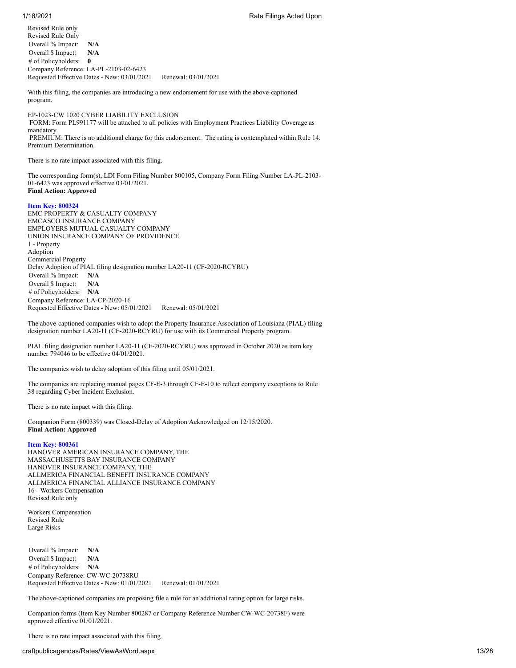## 1/18/2021 Rate Filings Acted Upon

Revised Rule only Revised Rule Only Overall % Impact: **N/A** Overall \$ Impact: **N/A** # of Policyholders: **0** Company Reference: LA-PL-2103-02-6423 Requested Effective Dates - New: 03/01/2021 Renewal: 03/01/2021

With this filing, the companies are introducing a new endorsement for use with the above-captioned program.

EP-1023-CW 1020 CYBER LIABILITY EXCLUSION FORM: Form PL991177 will be attached to all policies with Employment Practices Liability Coverage as mandatory. PREMIUM: There is no additional charge for this endorsement. The rating is contemplated within Rule 14. Premium Determination.

There is no rate impact associated with this filing.

The corresponding form(s), LDI Form Filing Number 800105, Company Form Filing Number LA-PL-2103- 01-6423 was approved effective 03/01/2021. **Final Action: Approved**

## **Item Key: 800324**

EMC PROPERTY & CASUALTY COMPANY EMCASCO INSURANCE COMPANY EMPLOYERS MUTUAL CASUALTY COMPANY UNION INSURANCE COMPANY OF PROVIDENCE 1 - Property Adoption Commercial Property Delay Adoption of PIAL filing designation number LA20-11 (CF-2020-RCYRU) Overall % Impact: **N/A** Overall \$ Impact: **N/A** # of Policyholders: **N/A** Company Reference: LA-CP-2020-16 Requested Effective Dates - New: 05/01/2021 Renewal: 05/01/2021

The above-captioned companies wish to adopt the Property Insurance Association of Louisiana (PIAL) filing designation number LA20-11 (CF-2020-RCYRU) for use with its Commercial Property program.

PIAL filing designation number LA20-11 (CF-2020-RCYRU) was approved in October 2020 as item key number 794046 to be effective 04/01/2021.

The companies wish to delay adoption of this filing until 05/01/2021.

The companies are replacing manual pages CF-E-3 through CF-E-10 to reflect company exceptions to Rule 38 regarding Cyber Incident Exclusion.

There is no rate impact with this filing.

Companion Form (800339) was Closed-Delay of Adoption Acknowledged on 12/15/2020. **Final Action: Approved**

### **Item Key: 800361**

HANOVER AMERICAN INSURANCE COMPANY, THE MASSACHUSETTS BAY INSURANCE COMPANY HANOVER INSURANCE COMPANY, THE ALLMERICA FINANCIAL BENEFIT INSURANCE COMPANY ALLMERICA FINANCIAL ALLIANCE INSURANCE COMPANY 16 - Workers Compensation Revised Rule only

Workers Compensation Revised Rule Large Risks

Overall % Impact: **N/A** Overall \$ Impact: **N/A** # of Policyholders: **N/A** Company Reference: CW-WC-20738RU Requested Effective Dates - New: 01/01/2021 Renewal: 01/01/2021

The above-captioned companies are proposing file a rule for an additional rating option for large risks.

Companion forms (Item Key Number 800287 or Company Reference Number CW-WC-20738F) were approved effective 01/01/2021.

There is no rate impact associated with this filing.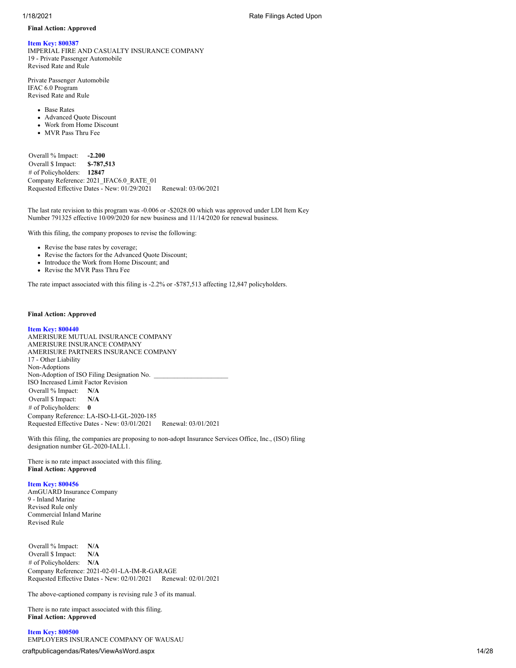## **Final Action: Approved**

# **Item Key: 800387**

IMPERIAL FIRE AND CASUALTY INSURANCE COMPANY 19 - Private Passenger Automobile Revised Rate and Rule

Private Passenger Automobile IFAC 6.0 Program Revised Rate and Rule

• Base Rates

- Advanced Quote Discount
- Work from Home Discount
- MVR Pass Thru Fee

Overall % Impact: **-2.200** Overall \$ Impact: **\$-787,513** # of Policyholders: **12847** Company Reference: 2021\_IFAC6.0\_RATE\_01 Requested Effective Dates - New:  $01/29/2021$  Renewal: 03/06/2021

The last rate revision to this program was -0.006 or -\$2028.00 which was approved under LDI Item Key Number 791325 effective 10/09/2020 for new business and 11/14/2020 for renewal business.

With this filing, the company proposes to revise the following:

- Revise the base rates by coverage;
- Revise the factors for the Advanced Quote Discount;
- Introduce the Work from Home Discount; and
- Revise the MVR Pass Thru Fee

The rate impact associated with this filing is -2.2% or -\$787,513 affecting 12,847 policyholders.

## **Final Action: Approved**

## **Item Key: 800440**

AMERISURE MUTUAL INSURANCE COMPANY AMERISURE INSURANCE COMPANY AMERISURE PARTNERS INSURANCE COMPANY 17 - Other Liability Non-Adoptions Non-Adoption of ISO Filing Designation No. ISO Increased Limit Factor Revision Overall % Impact: **N/A** Overall \$ Impact: **N/A** # of Policyholders: **0** Company Reference: LA-ISO-LI-GL-2020-185 Requested Effective Dates - New: 03/01/2021 Renewal: 03/01/2021

With this filing, the companies are proposing to non-adopt Insurance Services Office, Inc., (ISO) filing designation number GL-2020-IALL1.

There is no rate impact associated with this filing. **Final Action: Approved**

## **Item Key: 800456**

AmGUARD Insurance Company 9 - Inland Marine Revised Rule only Commercial Inland Marine Revised Rule

Overall % Impact: **N/A** Overall \$ Impact: **N/A** # of Policyholders: **N/A** Company Reference: 2021-02-01-LA-IM-R-GARAGE Requested Effective Dates - New: 02/01/2021 Renewal: 02/01/2021

The above-captioned company is revising rule 3 of its manual.

There is no rate impact associated with this filing. **Final Action: Approved**

**Item Key: 800500** EMPLOYERS INSURANCE COMPANY OF WAUSAU

craftpublicagendas/Rates/ViewAsWord.aspx 14/28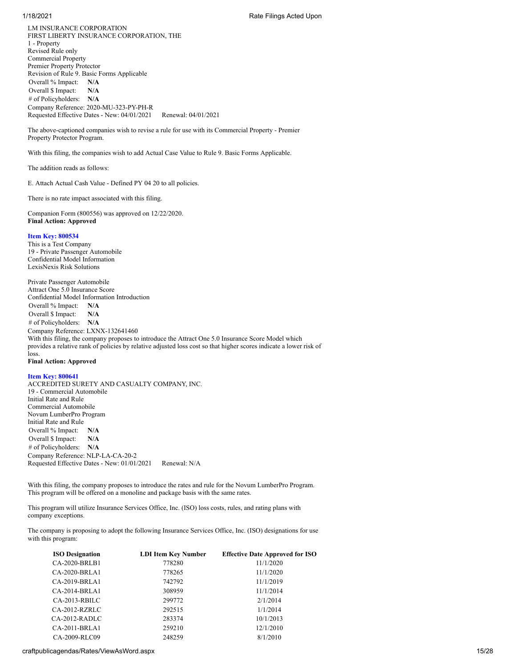LM INSURANCE CORPORATION FIRST LIBERTY INSURANCE CORPORATION, THE 1 - Property Revised Rule only Commercial Property Premier Property Protector Revision of Rule 9. Basic Forms Applicable Overall % Impact: **N/A** Overall \$ Impact: **N/A** # of Policyholders: **N/A** Company Reference: 2020-MU-323-PY-PH-R Requested Effective Dates - New: 04/01/2021 Renewal: 04/01/2021

The above-captioned companies wish to revise a rule for use with its Commercial Property - Premier Property Protector Program.

With this filing, the companies wish to add Actual Case Value to Rule 9. Basic Forms Applicable.

The addition reads as follows:

E. Attach Actual Cash Value - Defined PY 04 20 to all policies.

There is no rate impact associated with this filing.

Companion Form (800556) was approved on 12/22/2020. **Final Action: Approved**

## **Item Key: 800534**

This is a Test Company 19 - Private Passenger Automobile Confidential Model Information LexisNexis Risk Solutions

Private Passenger Automobile Attract One 5.0 Insurance Score Confidential Model Information Introduction Overall % Impact: **N/A** Overall \$ Impact: **N/A** # of Policyholders: **N/A** Company Reference: LXNX-132641460 With this filing, the company proposes to introduce the Attract One 5.0 Insurance Score Model which provides a relative rank of policies by relative adjusted loss cost so that higher scores indicate a lower risk of loss. **Final Action: Approved**

**Item Key: 800641** ACCREDITED SURETY AND CASUALTY COMPANY, INC. 19 - Commercial Automobile

Initial Rate and Rule Commercial Automobile Novum LumberPro Program Initial Rate and Rule Overall % Impact: **N/A** Overall \$ Impact: **N/A** # of Policyholders: **N/A** Company Reference: NLP-LA-CA-20-2 Requested Effective Dates - New: 01/01/2021 Renewal: N/A

With this filing, the company proposes to introduce the rates and rule for the Novum LumberPro Program. This program will be offered on a monoline and package basis with the same rates.

This program will utilize Insurance Services Office, Inc. (ISO) loss costs, rules, and rating plans with company exceptions.

The company is proposing to adopt the following Insurance Services Office, Inc. (ISO) designations for use with this program:

| <b>ISO Designation</b> | <b>LDI Item Key Number</b> | <b>Effective Date Approved for ISO</b> |
|------------------------|----------------------------|----------------------------------------|
| CA-2020-BRLB1          | 778280                     | 11/1/2020                              |
| $CA-2020-BRLA1$        | 778265                     | 11/1/2020                              |
| CA-2019-BRLA1          | 742792                     | 11/1/2019                              |
| $CA-2014-BRLA1$        | 308959                     | 11/1/2014                              |
| $CA-2013-RBILC$        | 299772                     | 2/1/2014                               |
| $CA-2012- RZRLC$       | 292515                     | 1/1/2014                               |
| $CA-2012-RADLC$        | 283374                     | 10/1/2013                              |
| $CA-2011-BRLA1$        | 259210                     | 12/1/2010                              |
| CA-2009-RLC09          | 248259                     | 8/1/2010                               |

## craftpublicagendas/Rates/ViewAsWord.aspx 15/28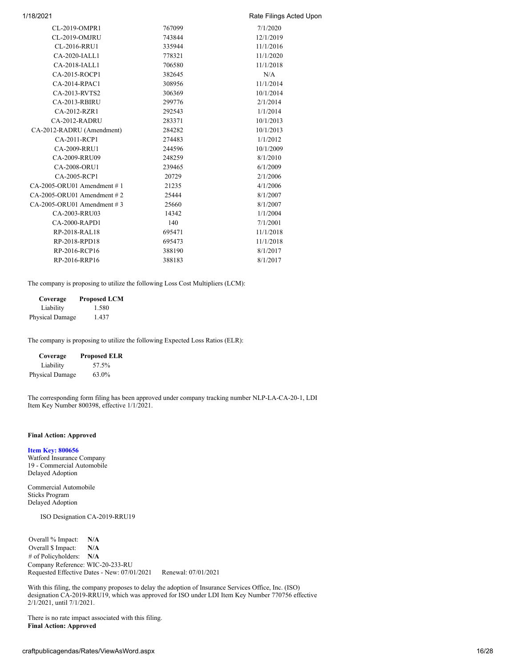| 1/18/2021                     |        | Rate Filings Acted Upon |
|-------------------------------|--------|-------------------------|
| CL-2019-OMPR1                 | 767099 | 7/1/2020                |
| CL-2019-OMJRU                 | 743844 | 12/1/2019               |
| CL-2016-RRU1                  | 335944 | 11/1/2016               |
| CA-2020-IALL1                 | 778321 | 11/1/2020               |
| CA-2018-IALL1                 | 706580 | 11/1/2018               |
| CA-2015-ROCP1                 | 382645 | N/A                     |
| $CA-2014-RPAC1$               | 308956 | 11/1/2014               |
| CA-2013-RVTS2                 | 306369 | 10/1/2014               |
| CA-2013-RBIRU                 | 299776 | 2/1/2014                |
| CA-2012-RZR1                  | 292543 | 1/1/2014                |
| CA-2012-RADRU                 | 283371 | 10/1/2013               |
| CA-2012-RADRU (Amendment)     | 284282 | 10/1/2013               |
| CA-2011-RCP1                  | 274483 | 1/1/2012                |
| CA-2009-RRU1                  | 244596 | 10/1/2009               |
| CA-2009-RRU09                 | 248259 | 8/1/2010                |
| CA-2008-ORU1                  | 239465 | 6/1/2009                |
| CA-2005-RCP1                  | 20729  | 2/1/2006                |
| $CA-2005-ORU01$ Amendment #1  | 21235  | 4/1/2006                |
| $CA-2005-ORU01$ Amendment # 2 | 25444  | 8/1/2007                |
| $CA-2005-ORU01$ Amendment # 3 | 25660  | 8/1/2007                |
| CA-2003-RRU03                 | 14342  | 1/1/2004                |
| CA-2000-RAPD1                 | 140    | 7/1/2001                |
| RP-2018-RAL18                 | 695471 | 11/1/2018               |
| RP-2018-RPD18                 | 695473 | 11/1/2018               |
| RP-2016-RCP16                 | 388190 | 8/1/2017                |
| RP-2016-RRP16                 | 388183 | 8/1/2017                |
|                               |        |                         |

The company is proposing to utilize the following Loss Cost Multipliers (LCM):

| Coverage               | <b>Proposed LCM</b> |
|------------------------|---------------------|
| Liability              | 1.580               |
| <b>Physical Damage</b> | 1.437               |

The company is proposing to utilize the following Expected Loss Ratios (ELR):

| Coverage        | <b>Proposed ELR</b> |
|-----------------|---------------------|
| Liability       | 57.5%               |
| Physical Damage | 63.0%               |

The corresponding form filing has been approved under company tracking number NLP-LA-CA-20-1, LDI Item Key Number 800398, effective 1/1/2021.

## **Final Action: Approved**

## **Item Key: 800656**

Watford Insurance Company 19 - Commercial Automobile Delayed Adoption

Commercial Automobile Sticks Program Delayed Adoption

ISO Designation CA-2019-RRU19

Overall % Impact: **N/A** Overall \$ Impact: **N/A** # of Policyholders: **N/A** Company Reference: WIC-20-233-RU Requested Effective Dates - New: 07/01/2021 Renewal: 07/01/2021

With this filing, the company proposes to delay the adoption of Insurance Services Office, Inc. (ISO) designation CA-2019-RRU19, which was approved for ISO under LDI Item Key Number 770756 effective 2/1/2021, until 7/1/2021.

There is no rate impact associated with this filing. **Final Action: Approved**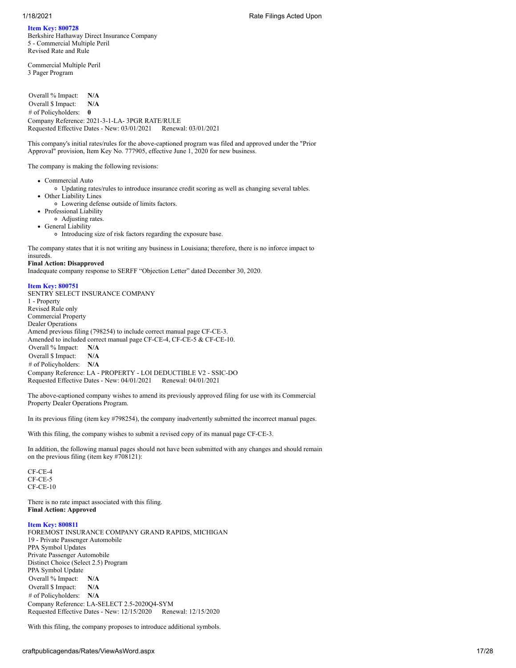## **Item Key: 800728**

Berkshire Hathaway Direct Insurance Company 5 - Commercial Multiple Peril Revised Rate and Rule

Commercial Multiple Peril 3 Pager Program

Overall % Impact: **N/A** Overall \$ Impact: **N/A** # of Policyholders: **0** Company Reference: 2021-3-1-LA- 3PGR RATE/RULE Requested Effective Dates - New: 03/01/2021 Renewal: 03/01/2021

This company's initial rates/rules for the above-captioned program was filed and approved under the "Prior Approval" provision, Item Key No. 777905, effective June 1, 2020 for new business.

The company is making the following revisions:

- Commercial Auto
- Updating rates/rules to introduce insurance credit scoring as well as changing several tables.
- Other Liability Lines
- Lowering defense outside of limits factors.
- Professional Liability
- Adjusting rates. • General Liability
- Introducing size of risk factors regarding the exposure base.

The company states that it is not writing any business in Louisiana; therefore, there is no inforce impact to

## insureds.

**Final Action: Disapproved** Inadequate company response to SERFF "Objection Letter" dated December 30, 2020.

## **Item Key: 800751**

SENTRY SELECT INSURANCE COMPANY 1 - Property Revised Rule only Commercial Property Dealer Operations Amend previous filing (798254) to include correct manual page CF-CE-3. Amended to included correct manual page CF-CE-4, CF-CE-5 & CF-CE-10. Overall % Impact: **N/A** Overall \$ Impact: **N/A** # of Policyholders: **N/A** Company Reference: LA - PROPERTY - LOI DEDUCTIBLE V2 - SSIC-DO Requested Effective Dates - New: 04/01/2021

The above-captioned company wishes to amend its previously approved filing for use with its Commercial Property Dealer Operations Program.

In its previous filing (item key #798254), the company inadvertently submitted the incorrect manual pages.

With this filing, the company wishes to submit a revised copy of its manual page CF-CE-3.

In addition, the following manual pages should not have been submitted with any changes and should remain on the previous filing (item key #708121):

CF-CE-4 CF-CE-5 CF-CE-10

There is no rate impact associated with this filing. **Final Action: Approved**

# **Item Key: 800811**

FOREMOST INSURANCE COMPANY GRAND RAPIDS, MICHIGAN 19 - Private Passenger Automobile PPA Symbol Updates Private Passenger Automobile Distinct Choice (Select 2.5) Program PPA Symbol Update Overall % Impact: **N/A** Overall \$ Impact: **N/A** # of Policyholders: **N/A** Company Reference: LA-SELECT 2.5-2020Q4-SYM Requested Effective Dates - New: 12/15/2020 Renewal: 12/15/2020

With this filing, the company proposes to introduce additional symbols.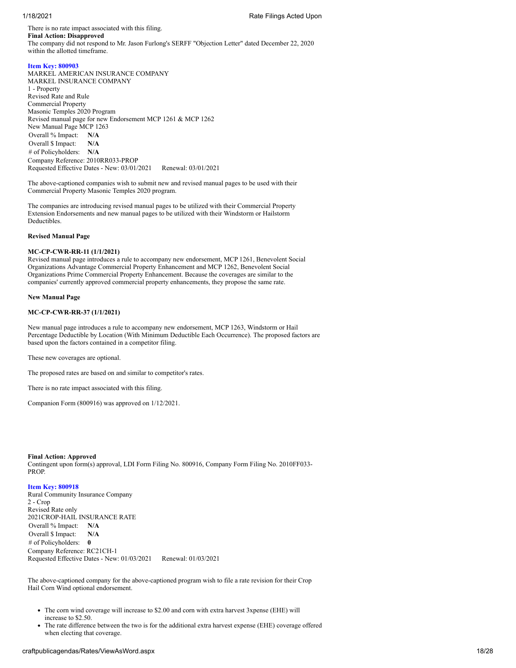There is no rate impact associated with this filing. **Final Action: Disapproved** The company did not respond to Mr. Jason Furlong's SERFF "Objection Letter" dated December 22, 2020 within the allotted timeframe.

## **Item Key: 800903**

MARKEL AMERICAN INSURANCE COMPANY MARKEL INSURANCE COMPANY 1 - Property Revised Rate and Rule Commercial Property Masonic Temples 2020 Program Revised manual page for new Endorsement MCP 1261 & MCP 1262 New Manual Page MCP 1263 Overall % Impact: **N/A** Overall \$ Impact: **N/A** # of Policyholders: **N/A** Company Reference: 2010RR033-PROP Requested Effective Dates - New: 03/01/2021 Renewal: 03/01/2021

The above-captioned companies wish to submit new and revised manual pages to be used with their Commercial Property Masonic Temples 2020 program.

The companies are introducing revised manual pages to be utilized with their Commercial Property Extension Endorsements and new manual pages to be utilized with their Windstorm or Hailstorm Deductibles.

### **Revised Manual Page**

## **MC-CP-CWR-RR-11 (1/1/2021)**

Revised manual page introduces a rule to accompany new endorsement, MCP 1261, Benevolent Social Organizations Advantage Commercial Property Enhancement and MCP 1262, Benevolent Social Organizations Prime Commercial Property Enhancement. Because the coverages are similar to the companies' currently approved commercial property enhancements, they propose the same rate.

## **New Manual Page**

## **MC-CP-CWR-RR-37 (1/1/2021)**

New manual page introduces a rule to accompany new endorsement, MCP 1263, Windstorm or Hail Percentage Deductible by Location (With Minimum Deductible Each Occurrence). The proposed factors are based upon the factors contained in a competitor filing.

These new coverages are optional.

The proposed rates are based on and similar to competitor's rates.

There is no rate impact associated with this filing.

Companion Form (800916) was approved on 1/12/2021.

**Final Action: Approved** Contingent upon form(s) approval, LDI Form Filing No. 800916, Company Form Filing No. 2010FF033- PROP.

### **Item Key: 800918**

Rural Community Insurance Company 2 - Crop Revised Rate only 2021CROP-HAIL INSURANCE RATE Overall % Impact: **N/A** Overall \$ Impact: **N/A** # of Policyholders: **0** Company Reference: RC21CH-1 Requested Effective Dates - New: 01/03/2021 Renewal: 01/03/2021

The above-captioned company for the above-captioned program wish to file a rate revision for their Crop Hail Corn Wind optional endorsement.

- The corn wind coverage will increase to \$2.00 and corn with extra harvest 3xpense (EHE) will increase to \$2.50.
- The rate difference between the two is for the additional extra harvest expense (EHE) coverage offered when electing that coverage.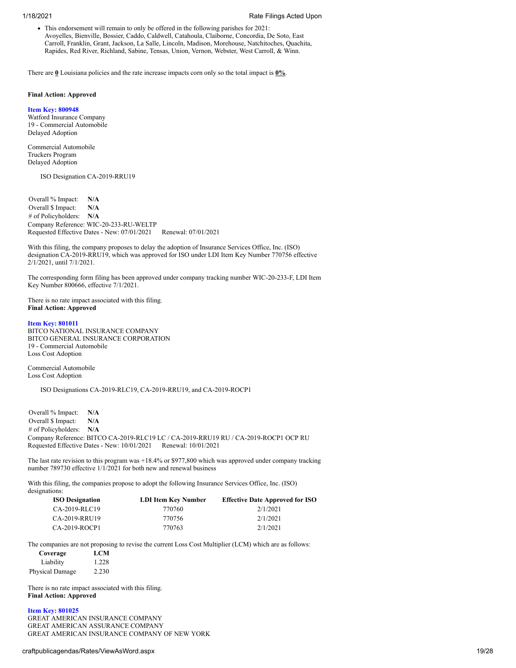This endorsement will remain to only be offered in the following parishes for 2021: Avoyelles, Bienville, Bossier, Caddo, Caldwell, Catahoula, Claiborne, Concordia, De Soto, East Carroll, Franklin, Grant, Jackson, La Salle, Lincoln, Madison, Morehouse, Natchitoches, Quachita, Rapides, Red River, Richland, Sabine, Tensas, Union, Vernon, Webster, West Carroll, & Winn.

There are **0** Louisiana policies and the rate increase impacts corn only so the total impact is **0%**.

## **Final Action: Approved**

**Item Key: 800948**

Watford Insurance Company 19 - Commercial Automobile Delayed Adoption

Commercial Automobile Truckers Program Delayed Adoption

ISO Designation CA-2019-RRU19

Overall % Impact: **N/A** Overall \$ Impact: **N/A** # of Policyholders: **N/A** Company Reference: WIC-20-233-RU-WELTP Requested Effective Dates - New: 07/01/2021 Renewal: 07/01/2021

With this filing, the company proposes to delay the adoption of Insurance Services Office, Inc. (ISO) designation CA-2019-RRU19, which was approved for ISO under LDI Item Key Number 770756 effective 2/1/2021, until 7/1/2021.

The corresponding form filing has been approved under company tracking number WIC-20-233-F, LDI Item Key Number 800666, effective 7/1/2021.

There is no rate impact associated with this filing. **Final Action: Approved**

### **Item Key: 801011**

BITCO NATIONAL INSURANCE COMPANY BITCO GENERAL INSURANCE CORPORATION 19 - Commercial Automobile Loss Cost Adoption

Commercial Automobile Loss Cost Adoption

ISO Designations CA-2019-RLC19, CA-2019-RRU19, and CA-2019-ROCP1

Overall % Impact: **N/A** Overall \$ Impact: **N/A** # of Policyholders: **N/A** Company Reference: BITCO CA-2019-RLC19 LC / CA-2019-RRU19 RU / CA-2019-ROCP1 OCP RU Requested Effective Dates - New: 10/01/2021 Renewal: 10/01/2021

The last rate revision to this program was +18.4% or \$977,800 which was approved under company tracking number 789730 effective 1/1/2021 for both new and renewal business

With this filing, the companies propose to adopt the following Insurance Services Office, Inc. (ISO) designations:

| <b>ISO Designation</b> | <b>LDI Item Key Number</b> | <b>Effective Date Approved for ISO</b> |
|------------------------|----------------------------|----------------------------------------|
| CA-2019-RLC19          | 770760                     | 2/1/2021                               |
| CA-2019-RRU19          | 770756                     | 2/1/2021                               |
| $CA-2019-ROCP1$        | 770763                     | 2/1/2021                               |

The companies are not proposing to revise the current Loss Cost Multiplier (LCM) which are as follows:

| Coverage        | <b>LCM</b> |
|-----------------|------------|
| Liability       | 1.228      |
| Physical Damage | 2.230      |

There is no rate impact associated with this filing. **Final Action: Approved**

## **Item Key: 801025**

GREAT AMERICAN INSURANCE COMPANY GREAT AMERICAN ASSURANCE COMPANY GREAT AMERICAN INSURANCE COMPANY OF NEW YORK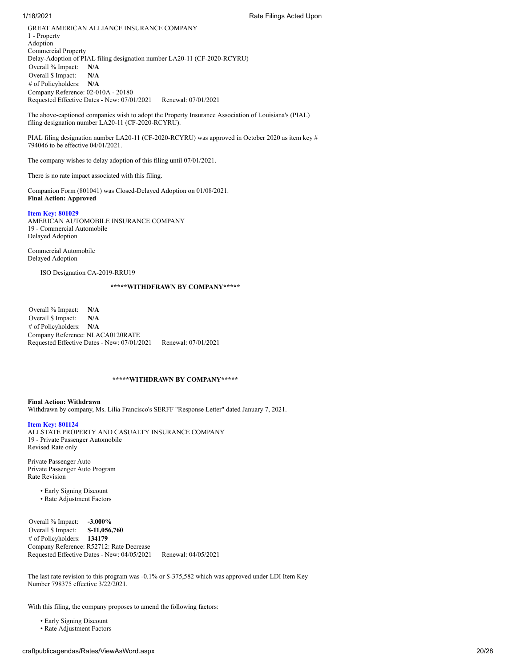GREAT AMERICAN ALLIANCE INSURANCE COMPANY 1 - Property Adoption Commercial Property Delay-Adoption of PIAL filing designation number LA20-11 (CF-2020-RCYRU) Overall % Impact: **N/A** Overall \$ Impact: **N/A** # of Policyholders: **N/A** Company Reference: 02-010A - 20180 Requested Effective Dates - New: 07/01/2021 Renewal: 07/01/2021

The above-captioned companies wish to adopt the Property Insurance Association of Louisiana's (PIAL) filing designation number LA20-11 (CF-2020-RCYRU).

PIAL filing designation number LA20-11 (CF-2020-RCYRU) was approved in October 2020 as item key # 794046 to be effective 04/01/2021.

The company wishes to delay adoption of this filing until 07/01/2021.

There is no rate impact associated with this filing.

Companion Form (801041) was Closed-Delayed Adoption on 01/08/2021. **Final Action: Approved**

## **Item Key: 801029**

AMERICAN AUTOMOBILE INSURANCE COMPANY 19 - Commercial Automobile Delayed Adoption

Commercial Automobile Delayed Adoption

ISO Designation CA-2019-RRU19

## **\*\*\*\*\*WITHDFRAWN BY COMPANY\*\*\*\*\***

Overall % Impact: **N/A** Overall \$ Impact: **N/A** # of Policyholders: **N/A** Company Reference: NLACA0120RATE Requested Effective Dates - New: 07/01/2021 Renewal: 07/01/2021

## **\*\*\*\*\*WITHDRAWN BY COMPANY\*\*\*\*\***

**Final Action: Withdrawn** Withdrawn by company, Ms. Lilia Francisco's SERFF "Response Letter" dated January 7, 2021.

### **Item Key: 801124**

ALLSTATE PROPERTY AND CASUALTY INSURANCE COMPANY 19 - Private Passenger Automobile Revised Rate only

Private Passenger Auto Private Passenger Auto Program Rate Revision

- Early Signing Discount
- Rate Adjustment Factors

Overall % Impact: **-3.000%** Overall \$ Impact: **\$-11,056,760** # of Policyholders: **134179** Company Reference: R52712: Rate Decrease Requested Effective Dates - New: 04/05/2021 Renewal: 04/05/2021

The last rate revision to this program was -0.1% or \$-375,582 which was approved under LDI Item Key Number 798375 effective 3/22/2021.

With this filing, the company proposes to amend the following factors:

• Early Signing Discount

• Rate Adjustment Factors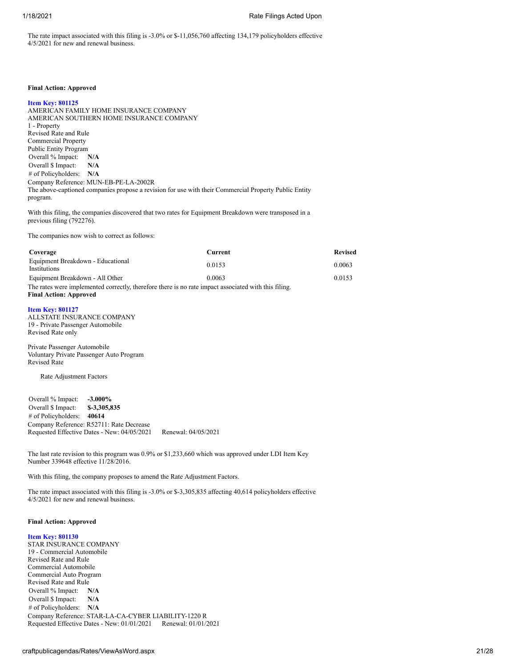The rate impact associated with this filing is -3.0% or \$-11,056,760 affecting 134,179 policyholders effective 4/5/2021 for new and renewal business.

## **Final Action: Approved**

#### **Item Key: 801125**

AMERICAN FAMILY HOME INSURANCE COMPANY AMERICAN SOUTHERN HOME INSURANCE COMPANY 1 - Property Revised Rate and Rule Commercial Property Public Entity Program Overall % Impact: **N/A** Overall \$ Impact: **N/A** # of Policyholders: **N/A** Company Reference: MUN-EB-PE-LA-2002R The above-captioned companies propose a revision for use with their Commercial Property Public Entity program.

With this filing, the companies discovered that two rates for Equipment Breakdown were transposed in a previous filing (792276).

The companies now wish to correct as follows:

| Coverage                                                                                             | Current | <b>Revised</b> |
|------------------------------------------------------------------------------------------------------|---------|----------------|
| Equipment Breakdown - Educational<br><i>Institutions</i>                                             | 0.0153  | 0.0063         |
| Equipment Breakdown - All Other                                                                      | 0.0063  | 0.0153         |
| The rates were implemented correctly, therefore there is no rate impact associated with this filing. |         |                |
| <b>Final Action: Approved</b>                                                                        |         |                |

### **Item Key: 801127**

ALLSTATE INSURANCE COMPANY 19 - Private Passenger Automobile Revised Rate only

Private Passenger Automobile Voluntary Private Passenger Auto Program Revised Rate

Rate Adjustment Factors

Overall % Impact: **-3.000%** Overall \$ Impact: **\$-3,305,835** # of Policyholders: **40614** Company Reference: R52711: Rate Decrease Requested Effective Dates - New: 04/05/2021 Renewal: 04/05/2021

The last rate revision to this program was 0.9% or \$1,233,660 which was approved under LDI Item Key Number 339648 effective 11/28/2016.

With this filing, the company proposes to amend the Rate Adjustment Factors.

The rate impact associated with this filing is -3.0% or \$-3,305,835 affecting 40,614 policyholders effective 4/5/2021 for new and renewal business.

## **Final Action: Approved**

### **Item Key: 801130**

STAR INSURANCE COMPANY 19 - Commercial Automobile Revised Rate and Rule Commercial Automobile Commercial Auto Program Revised Rate and Rule Overall % Impact: **N/A** Overall \$ Impact: **N/A** # of Policyholders: **N/A** Company Reference: STAR-LA-CA-CYBER LIABILITY-1220 R Requested Effective Dates - New: 01/01/2021 Renewal: 01/01/2021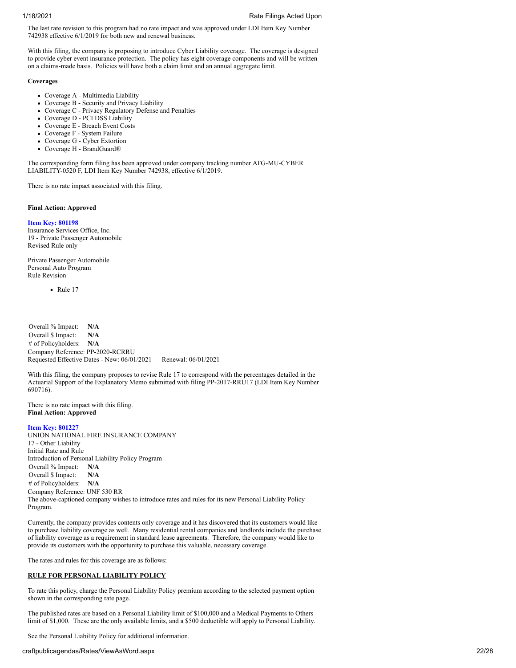The last rate revision to this program had no rate impact and was approved under LDI Item Key Number 742938 effective 6/1/2019 for both new and renewal business.

With this filing, the company is proposing to introduce Cyber Liability coverage. The coverage is designed to provide cyber event insurance protection. The policy has eight coverage components and will be written on a claims-made basis. Policies will have both a claim limit and an annual aggregate limit.

## **Coverages**

- Coverage A Multimedia Liability
- Coverage B Security and Privacy Liability
- Coverage C Privacy Regulatory Defense and Penalties
- Coverage D PCI DSS Liability
- Coverage E Breach Event Costs
- Coverage F System Failure
- Coverage G Cyber Extortion
- Coverage H BrandGuard®

The corresponding form filing has been approved under company tracking number ATG-MU-CYBER LIABILITY-0520 F, LDI Item Key Number 742938, effective 6/1/2019.

There is no rate impact associated with this filing.

## **Final Action: Approved**

## **Item Key: 801198**

Insurance Services Office, Inc. 19 - Private Passenger Automobile Revised Rule only

Private Passenger Automobile Personal Auto Program Rule Revision

• Rule 17

Overall % Impact: **N/A** Overall \$ Impact: **N/A** # of Policyholders: **N/A** Company Reference: PP-2020-RCRRU Requested Effective Dates - New: 06/01/2021 Renewal: 06/01/2021

With this filing, the company proposes to revise Rule 17 to correspond with the percentages detailed in the Actuarial Support of the Explanatory Memo submitted with filing PP-2017-RRU17 (LDI Item Key Number 690716).

There is no rate impact with this filing. **Final Action: Approved**

## **Item Key: 801227**

UNION NATIONAL FIRE INSURANCE COMPANY 17 - Other Liability Initial Rate and Rule Introduction of Personal Liability Policy Program Overall % Impact: **N/A** Overall \$ Impact: **N/A** # of Policyholders: **N/A** Company Reference: UNF 530 RR The above-captioned company wishes to introduce rates and rules for its new Personal Liability Policy Program.

Currently, the company provides contents only coverage and it has discovered that its customers would like to purchase liability coverage as well. Many residential rental companies and landlords include the purchase of liability coverage as a requirement in standard lease agreements. Therefore, the company would like to provide its customers with the opportunity to purchase this valuable, necessary coverage.

The rates and rules for this coverage are as follows:

## **RULE FOR PERSONAL LIABILITY POLICY**

To rate this policy, charge the Personal Liability Policy premium according to the selected payment option shown in the corresponding rate page.

The published rates are based on a Personal Liability limit of \$100,000 and a Medical Payments to Others limit of \$1,000. These are the only available limits, and a \$500 deductible will apply to Personal Liability.

See the Personal Liability Policy for additional information.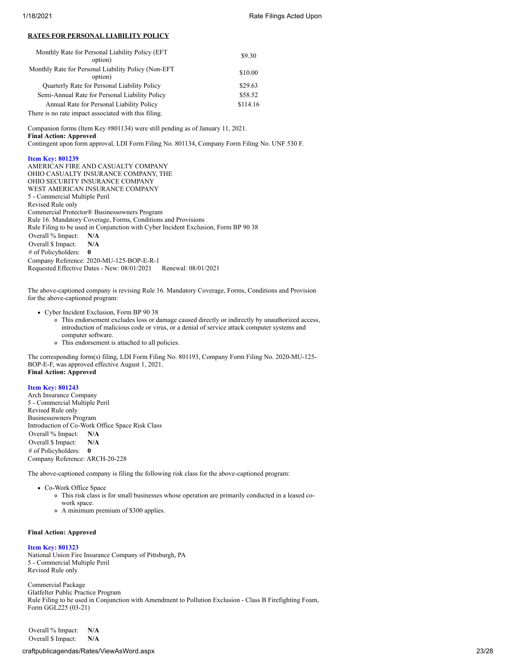## **RATES FOR PERSONAL LIABILITY POLICY**

| Monthly Rate for Personal Liability Policy (EFT)<br>option)     | \$9.30   |
|-----------------------------------------------------------------|----------|
| Monthly Rate for Personal Liability Policy (Non-EFT)<br>option) | \$10.00  |
| Quarterly Rate for Personal Liability Policy                    | \$29.63  |
| Semi-Annual Rate for Personal Liability Policy                  | \$58.52  |
| Annual Rate for Personal Liability Policy                       | \$114.16 |
| There is no rate impact associated with this filing.            |          |

Companion forms (Item Key #801134) were still pending as of January 11, 2021. **Final Action: Approved**

Contingent upon form approval, LDI Form Filing No. 801134, Company Form Filing No. UNF 530 F.

## **Item Key: 801239**

AMERICAN FIRE AND CASUALTY COMPANY OHIO CASUALTY INSURANCE COMPANY, THE OHIO SECURITY INSURANCE COMPANY WEST AMERICAN INSURANCE COMPANY 5 - Commercial Multiple Peril Revised Rule only Commercial Protector® Businessowners Program Rule 16. Mandatory Coverage, Forms, Conditions and Provisions Rule Filing to be used in Conjunction with Cyber Incident Exclusion, Form BP 90 38 Overall % Impact: **N/A** Overall \$ Impact: **N/A** # of Policyholders: **0** Company Reference: 2020-MU-125-BOP-E-R-1 Requested Effective Dates - New: 08/01/2021 Renewal: 08/01/2021

The above-captioned company is revising Rule 16. Mandatory Coverage, Forms, Conditions and Provision for the above-captioned program:

Cyber Incident Exclusion, Form BP 90 38

- This endorsement excludes loss or damage caused directly or indirectly by unauthorized access, introduction of malicious code or virus, or a denial of service attack computer systems and computer software.
- This endorsement is attached to all policies.

The corresponding form(s) filing, LDI Form Filing No. 801193, Company Form Filing No. 2020-MU-125- BOP-E-F, was approved effective August 1, 2021. **Final Action: Approved**

### **Item Key: 801243**

Arch Insurance Company 5 - Commercial Multiple Peril Revised Rule only Businessowners Program Introduction of Co-Work Office Space Risk Class Overall % Impact: **N/A** Overall \$ Impact: **N/A** # of Policyholders: **0** Company Reference: ARCH-20-228

The above-captioned company is filing the following risk class for the above-captioned program:

Co-Work Office Space

- This risk class is for small businesses whose operation are primarily conducted in a leased co
	- work space.
	- A minimum premium of \$300 applies.

## **Final Action: Approved**

### **Item Key: 801323**

National Union Fire Insurance Company of Pittsburgh, PA 5 - Commercial Multiple Peril Revised Rule only

Commercial Package Glatfelter Public Practice Program Rule Filing to be used in Conjunction with Amendment to Pollution Exclusion - Class B Firefighting Foam, Form GGL225 (03-21)

Overall % Impact: **N/A** Overall \$ Impact: **N/A**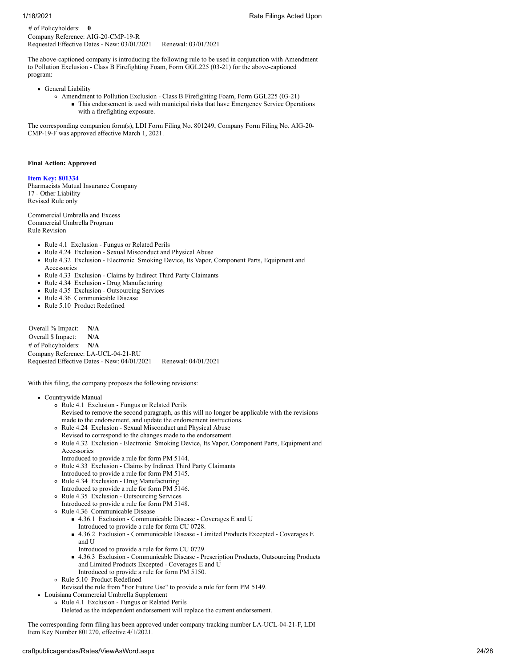# of Policyholders: **0** Company Reference: AIG-20-CMP-19-R Requested Effective Dates - New: 03/01/2021 Renewal: 03/01/2021

The above-captioned company is introducing the following rule to be used in conjunction with Amendment to Pollution Exclusion - Class B Firefighting Foam, Form GGL225 (03-21) for the above-captioned program:

- General Liability
	- Amendment to Pollution Exclusion Class B Firefighting Foam, Form GGL225 (03-21) This endorsement is used with municipal risks that have Emergency Service Operations with a firefighting exposure.

The corresponding companion form(s), LDI Form Filing No. 801249, Company Form Filing No. AIG-20- CMP-19-F was approved effective March 1, 2021.

## **Final Action: Approved**

**Item Key: 801334**

Pharmacists Mutual Insurance Company 17 - Other Liability Revised Rule only

Commercial Umbrella and Excess Commercial Umbrella Program Rule Revision

- Rule 4.1 Exclusion Fungus or Related Perils
- Rule 4.24 Exclusion Sexual Misconduct and Physical Abuse
- Rule 4.32 Exclusion Electronic Smoking Device, Its Vapor, Component Parts, Equipment and  $\bullet$ Accessories
- Rule 4.33 Exclusion Claims by Indirect Third Party Claimants
- Rule 4.34 Exclusion Drug Manufacturing
- Rule 4.35 Exclusion Outsourcing Services
- Rule 4.36 Communicable Disease
- Rule 5.10 Product Redefined

Overall % Impact: **N/A** Overall \$ Impact: **N/A** # of Policyholders: **N/A** Company Reference: LA-UCL-04-21-RU Requested Effective Dates - New: 04/01/2021 Renewal: 04/01/2021

With this filing, the company proposes the following revisions:

Countrywide Manual

- Rule 4.1 Exclusion Fungus or Related Perils Revised to remove the second paragraph, as this will no longer be applicable with the revisions made to the endorsement, and update the endorsement instructions.
- Rule 4.24 Exclusion Sexual Misconduct and Physical Abuse Revised to correspond to the changes made to the endorsement.
- Rule 4.32 Exclusion Electronic Smoking Device, Its Vapor, Component Parts, Equipment and Accessories
- Introduced to provide a rule for form PM 5144.
- Rule 4.33 Exclusion Claims by Indirect Third Party Claimants
- Introduced to provide a rule for form PM 5145. Rule 4.34 Exclusion - Drug Manufacturing
- Introduced to provide a rule for form PM 5146.
- Rule 4.35 Exclusion Outsourcing Services
	- Introduced to provide a rule for form PM 5148.
- Rule 4.36 Communicable Disease
	- 4.36.1 Exclusion Communicable Disease Coverages E and U Introduced to provide a rule for form CU 0728.
	- 4.36.2 Exclusion Communicable Disease Limited Products Excepted Coverages E and U
	- Introduced to provide a rule for form CU 0729.
	- 4.36.3 Exclusion Communicable Disease Prescription Products, Outsourcing Products and Limited Products Excepted - Coverages E and U Introduced to provide a rule for form PM 5150.
- Rule 5.10 Product Redefined
- Revised the rule from "For Future Use" to provide a rule for form PM 5149.
- Louisiana Commercial Umbrella Supplement
	- Rule 4.1 Exclusion Fungus or Related Perils
	- Deleted as the independent endorsement will replace the current endorsement.

The corresponding form filing has been approved under company tracking number LA-UCL-04-21-F, LDI Item Key Number 801270, effective 4/1/2021.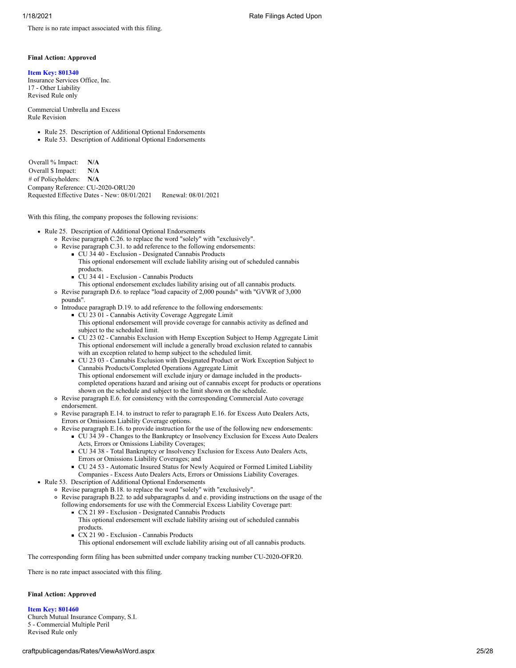There is no rate impact associated with this filing.

## **Final Action: Approved**

## **Item Key: 801340**

Insurance Services Office, Inc. 17 - Other Liability Revised Rule only

Commercial Umbrella and Excess Rule Revision

- Rule 25. Description of Additional Optional Endorsements
- Rule 53. Description of Additional Optional Endorsements

Overall % Impact: **N/A** Overall \$ Impact: **N/A** # of Policyholders: **N/A** Company Reference: CU-2020-ORU20 Requested Effective Dates - New: 08/01/2021 Renewal: 08/01/2021

With this filing, the company proposes the following revisions:

- Rule 25. Description of Additional Optional Endorsements
	- Revise paragraph C.26. to replace the word "solely" with "exclusively".
	- Revise paragraph C.31. to add reference to the following endorsements:
		- CU 34 40 Exclusion Designated Cannabis Products This optional endorsement will exclude liability arising out of scheduled cannabis products.
		- $\blacksquare$ CU 34 41 - Exclusion - Cannabis Products
	- This optional endorsement excludes liability arising out of all cannabis products. Revise paragraph D.6. to replace "load capacity of 2,000 pounds" with "GVWR of 3,000
		- pounds".
	- Introduce paragraph D.19. to add reference to the following endorsements: CU 23 01 - Cannabis Activity Coverage Aggregate Limit
		- This optional endorsement will provide coverage for cannabis activity as defined and subject to the scheduled limit.
		- CU 23 02 Cannabis Exclusion with Hemp Exception Subject to Hemp Aggregate Limit This optional endorsement will include a generally broad exclusion related to cannabis with an exception related to hemp subject to the scheduled limit.
		- CU 23 03 Cannabis Exclusion with Designated Product or Work Exception Subject to Cannabis Products/Completed Operations Aggregate Limit This optional endorsement will exclude injury or damage included in the productscompleted operations hazard and arising out of cannabis except for products or operations shown on the schedule and subject to the limit shown on the schedule.
	- Revise paragraph E.6. for consistency with the corresponding Commercial Auto coverage endorsement.
	- Revise paragraph E.14. to instruct to refer to paragraph E.16. for Excess Auto Dealers Acts, Errors or Omissions Liability Coverage options.
	- Revise paragraph E.16. to provide instruction for the use of the following new endorsements:
		- CU 34 39 Changes to the Bankruptcy or Insolvency Exclusion for Excess Auto Dealers Acts, Errors or Omissions Liability Coverages;
			- CU 34 38 Total Bankruptcy or Insolvency Exclusion for Excess Auto Dealers Acts, Errors or Omissions Liability Coverages; and
			- CU 24 53 Automatic Insured Status for Newly Acquired or Formed Limited Liability
		- Companies Excess Auto Dealers Acts, Errors or Omissions Liability Coverages.
- Rule 53. Description of Additional Optional Endorsements
	- Revise paragraph B.18. to replace the word "solely" with "exclusively".
	- Revise paragraph B.22. to add subparagraphs d. and e. providing instructions on the usage of the following endorsements for use with the Commercial Excess Liability Coverage part:
		- CX 21 89 Exclusion Designated Cannabis Products This optional endorsement will exclude liability arising out of scheduled cannabis products.
		- CX 21 90 Exclusion Cannabis Products
		- This optional endorsement will exclude liability arising out of all cannabis products.

The corresponding form filing has been submitted under company tracking number CU-2020-OFR20.

There is no rate impact associated with this filing.

## **Final Action: Approved**

**Item Key: 801460** Church Mutual Insurance Company, S.I. 5 - Commercial Multiple Peril Revised Rule only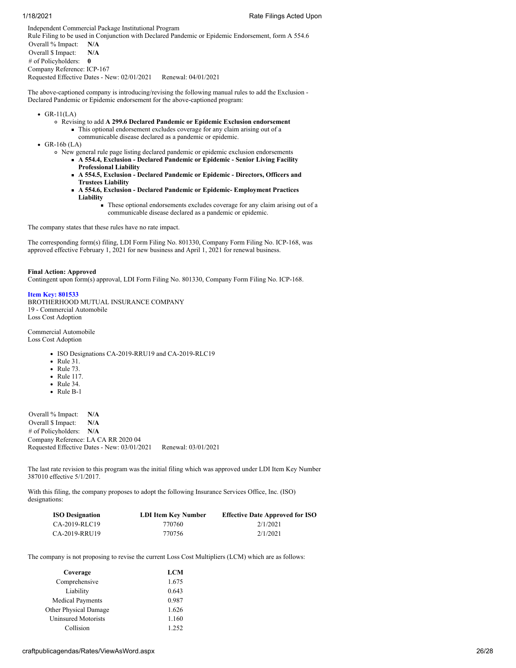Independent Commercial Package Institutional Program Rule Filing to be used in Conjunction with Declared Pandemic or Epidemic Endorsement, form A 554.6 Overall % Impact: **N/A** Overall \$ Impact: **N/A** # of Policyholders: **0** Company Reference: ICP-167 Requested Effective Dates - New: 02/01/2021 Renewal: 04/01/2021

The above-captioned company is introducing/revising the following manual rules to add the Exclusion - Declared Pandemic or Epidemic endorsement for the above-captioned program:

- $\bullet$  GR-11(LA)
	- Revising to add **A 299.6 Declared Pandemic or Epidemic Exclusion endorsement**
		- This optional endorsement excludes coverage for any claim arising out of a communicable disease declared as a pandemic or epidemic.
- $\cdot$  GR-16b (LA)
	- New general rule page listing declared pandemic or epidemic exclusion endorsements
		- **A 554.4, Exclusion Declared Pandemic or Epidemic Senior Living Facility Professional Liability**
			- **A 554.5, Exclusion Declared Pandemic or Epidemic Directors, Officers and Trustees Liability**
			- **A 554.6, Exclusion Declared Pandemic or Epidemic- Employment Practices Liability**
				- These optional endorsements excludes coverage for any claim arising out of a communicable disease declared as a pandemic or epidemic.

The company states that these rules have no rate impact.

The corresponding form(s) filing, LDI Form Filing No. 801330, Company Form Filing No. ICP-168, was approved effective February 1, 2021 for new business and April 1, 2021 for renewal business.

## **Final Action: Approved**

Contingent upon form(s) approval, LDI Form Filing No. 801330, Company Form Filing No. ICP-168.

## **Item Key: 801533**

BROTHERHOOD MUTUAL INSURANCE COMPANY 19 - Commercial Automobile Loss Cost Adoption

Commercial Automobile Loss Cost Adoption

- ISO Designations CA-2019-RRU19 and CA-2019-RLC19
- Rule 31.
- Rule 73.
- Rule 117.
- Rule 34.
- Rule B-1

Overall % Impact: **N/A** Overall \$ Impact: **N/A** # of Policyholders: **N/A** Company Reference: LA CA RR 2020 04 Requested Effective Dates - New: 03/01/2021 Renewal: 03/01/2021

The last rate revision to this program was the initial filing which was approved under LDI Item Key Number 387010 effective 5/1/2017.

With this filing, the company proposes to adopt the following Insurance Services Office, Inc. (ISO) designations:

| <b>ISO Designation</b> | LDI Item Key Number | <b>Effective Date Approved for ISO</b> |
|------------------------|---------------------|----------------------------------------|
| CA-2019-RLC19          | 770760              | 2/1/2021                               |
| CA-2019-RRU19          | 770756              | 2/1/2021                               |

The company is not proposing to revise the current Loss Cost Multipliers (LCM) which are as follows:

| Coverage                     | <b>LCM</b> |
|------------------------------|------------|
| Comprehensive                | 1.675      |
| Liability                    | 0.643      |
| <b>Medical Payments</b>      | 0.987      |
| <b>Other Physical Damage</b> | 1.626      |
| <b>Uninsured Motorists</b>   | 1.160      |
| Collision                    | 1.252      |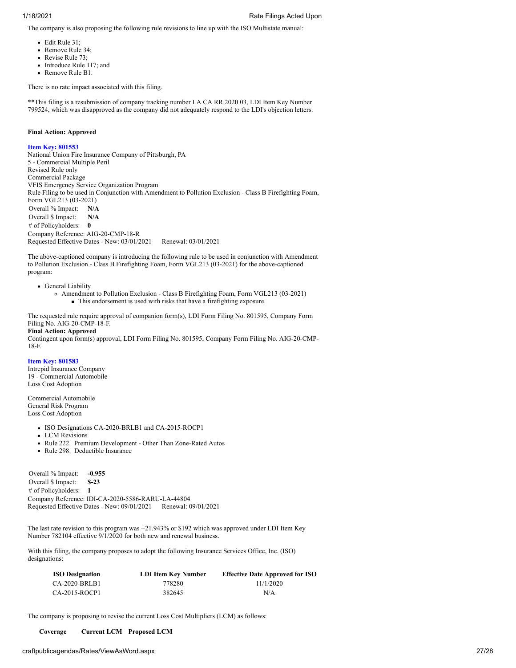The company is also proposing the following rule revisions to line up with the ISO Multistate manual:

- Edit Rule 31;
- Remove Rule 34;
- Revise Rule 73;
- Introduce Rule 117; and
- Remove Rule B1.

There is no rate impact associated with this filing.

\*\*This filing is a resubmission of company tracking number LA CA RR 2020 03, LDI Item Key Number 799524, which was disapproved as the company did not adequately respond to the LDI's objection letters.

# **Final Action: Approved**

# **Item Key: 801553**

National Union Fire Insurance Company of Pittsburgh, PA 5 - Commercial Multiple Peril Revised Rule only Commercial Package VFIS Emergency Service Organization Program Rule Filing to be used in Conjunction with Amendment to Pollution Exclusion - Class B Firefighting Foam, Form VGL213 (03-2021) Overall % Impact: **N/A** Overall \$ Impact: **N/A** # of Policyholders: **0** Company Reference: AIG-20-CMP-18-R Requested Effective Dates - New: 03/01/2021 Renewal: 03/01/2021

The above-captioned company is introducing the following rule to be used in conjunction with Amendment to Pollution Exclusion - Class B Firefighting Foam, Form VGL213 (03-2021) for the above-captioned program:

• General Liability

Amendment to Pollution Exclusion - Class B Firefighting Foam, Form VGL213 (03-2021) This endorsement is used with risks that have a firefighting exposure.

The requested rule require approval of companion form(s), LDI Form Filing No. 801595, Company Form Filing No. AIG-20-CMP-18-F. **Final Action: Approved**

Contingent upon form(s) approval, LDI Form Filing No. 801595, Company Form Filing No. AIG-20-CMP-18-F.

# **Item Key: 801583**

Intrepid Insurance Company 19 - Commercial Automobile Loss Cost Adoption

Commercial Automobile General Risk Program Loss Cost Adoption

- ISO Designations CA-2020-BRLB1 and CA-2015-ROCP1
- LCM Revisions
- Rule 222. Premium Development Other Than Zone-Rated Autos
- Rule 298. Deductible Insurance

Overall % Impact: **-0.955**<br>Overall \$ Impact: **\$-23** Overall \$ Impact: # of Policyholders: **1** Company Reference: IDI-CA-2020-5586-RARU-LA-44804 Requested Effective Dates - New: 09/01/2021 Renewal: 09/01/2021

The last rate revision to this program was +21.943% or \$192 which was approved under LDI Item Key Number 782104 effective 9/1/2020 for both new and renewal business.

With this filing, the company proposes to adopt the following Insurance Services Office, Inc. (ISO) designations:

| <b>ISO Designation</b> | LDI Item Key Number | <b>Effective Date Approved for ISO</b> |
|------------------------|---------------------|----------------------------------------|
| CA-2020-BRLB1          | 778280              | 11/1/2020                              |
| CA-2015-ROCP1          | 382645              | N/A                                    |

The company is proposing to revise the current Loss Cost Multipliers (LCM) as follows:

**Coverage Current LCM Proposed LCM**